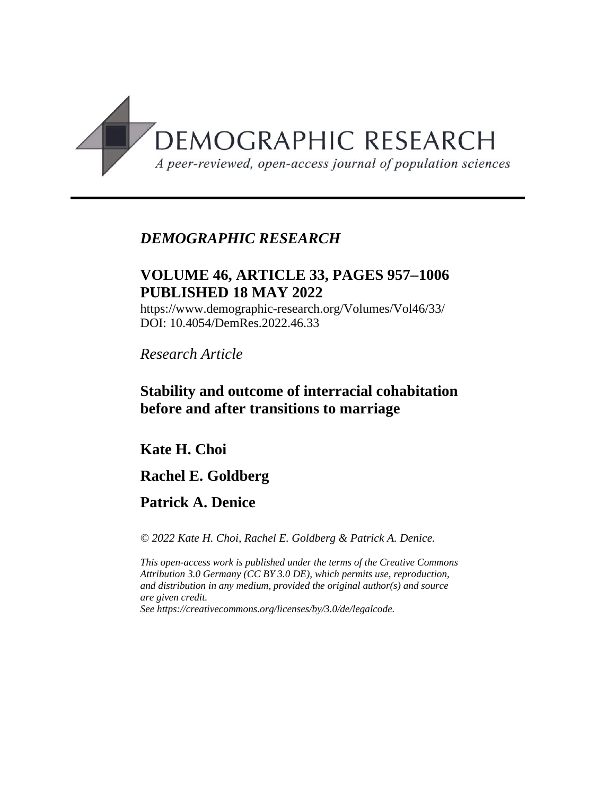

# *DEMOGRAPHIC RESEARCH*

# **VOLUME 46, ARTICLE 33, PAGES 9571006 PUBLISHED 18 MAY 2022**

https://www.demographic-research.org/Volumes/Vol46/33/ DOI: 10.4054/DemRes.2022.46.33

*Research Article*

# **Stability and outcome of interracial cohabitation before and after transitions to marriage**

# **Kate H. Choi**

# **Rachel E. Goldberg**

# **Patrick A. Denice**

*© 2022 Kate H. Choi, Rachel E. Goldberg & Patrick A. Denice.*

*This open-access work is published under the terms of the Creative Commons Attribution 3.0 Germany (CC BY 3.0 DE), which permits use, reproduction, and distribution in any medium, provided the original author(s) and source are given credit.*

*See [https://creativecommons.org/licenses/by/3.0/de/legalcode.](https://creativecommons.org/licenses/by/3.0/de/legalcode)*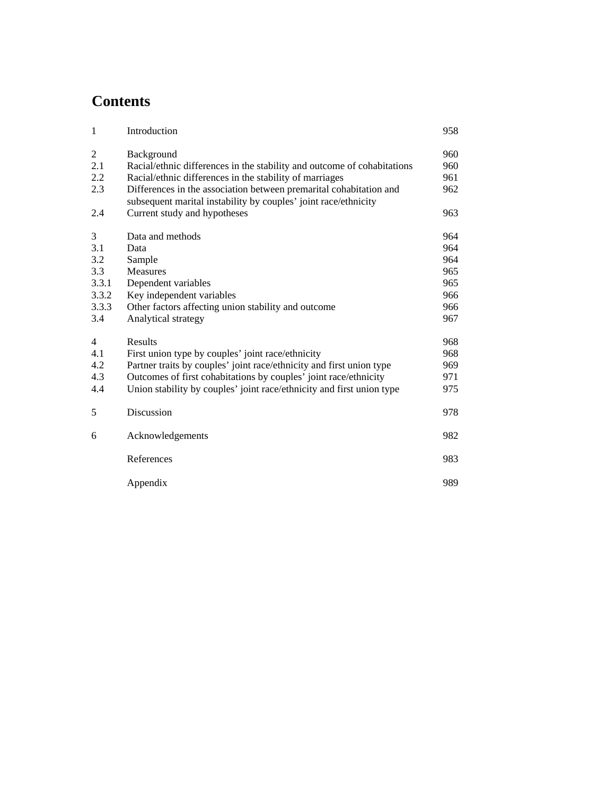# **Contents**

| 1              | Introduction                                                                                                                          | 958 |
|----------------|---------------------------------------------------------------------------------------------------------------------------------------|-----|
| $\overline{c}$ | Background                                                                                                                            | 960 |
| 2.1            | Racial/ethnic differences in the stability and outcome of cohabitations                                                               | 960 |
| 2.2            | Racial/ethnic differences in the stability of marriages                                                                               | 961 |
| 2.3            | Differences in the association between premarital cohabitation and<br>subsequent marital instability by couples' joint race/ethnicity | 962 |
| 2.4            | Current study and hypotheses                                                                                                          | 963 |
| 3              | Data and methods                                                                                                                      | 964 |
| 3.1            | Data                                                                                                                                  | 964 |
| 3.2            | Sample                                                                                                                                | 964 |
| 3.3            | <b>Measures</b>                                                                                                                       | 965 |
| 3.3.1          | Dependent variables                                                                                                                   | 965 |
| 3.3.2          | Key independent variables                                                                                                             | 966 |
| 3.3.3          | Other factors affecting union stability and outcome                                                                                   | 966 |
| 3.4            | Analytical strategy                                                                                                                   | 967 |
| $\overline{4}$ | Results                                                                                                                               | 968 |
| 4.1            | First union type by couples' joint race/ethnicity                                                                                     | 968 |
| 4.2            | Partner traits by couples' joint race/ethnicity and first union type                                                                  | 969 |
| 4.3            | Outcomes of first cohabitations by couples' joint race/ethnicity                                                                      | 971 |
| 4.4            | Union stability by couples' joint race/ethnicity and first union type                                                                 | 975 |
| 5              | Discussion                                                                                                                            | 978 |
| 6              | Acknowledgements                                                                                                                      | 982 |
|                | References                                                                                                                            | 983 |
|                | Appendix                                                                                                                              | 989 |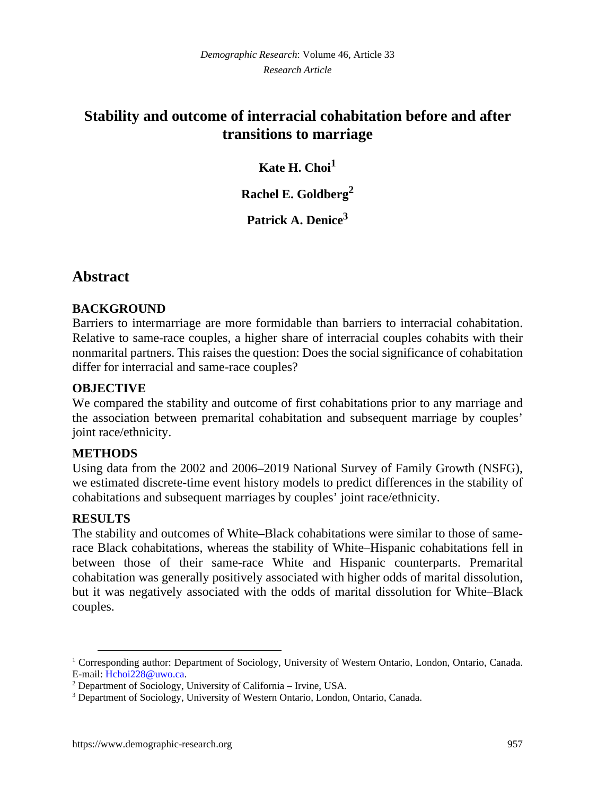# **Stability and outcome of interracial cohabitation before and after transitions to marriage**

## **Kate H. Choi[1](#page-2-0)**

**Rachel E. Goldberg[2](#page-2-1)**

**Patrick A. Denice[3](#page-2-2)**

# **Abstract**

## **BACKGROUND**

Barriers to intermarriage are more formidable than barriers to interracial cohabitation. Relative to same-race couples, a higher share of interracial couples cohabits with their nonmarital partners. This raises the question: Does the social significance of cohabitation differ for interracial and same-race couples?

## **OBJECTIVE**

We compared the stability and outcome of first cohabitations prior to any marriage and the association between premarital cohabitation and subsequent marriage by couples' joint race/ethnicity.

## **METHODS**

Using data from the 2002 and 2006–2019 National Survey of Family Growth (NSFG), we estimated discrete-time event history models to predict differences in the stability of cohabitations and subsequent marriages by couples' joint race/ethnicity.

## **RESULTS**

The stability and outcomes of White–Black cohabitations were similar to those of samerace Black cohabitations, whereas the stability of White–Hispanic cohabitations fell in between those of their same-race White and Hispanic counterparts. Premarital cohabitation was generally positively associated with higher odds of marital dissolution, but it was negatively associated with the odds of marital dissolution for White–Black couples.

<span id="page-2-0"></span><sup>&</sup>lt;sup>1</sup> Corresponding author: Department of Sociology, University of Western Ontario, London, Ontario, Canada. E-mail: [Hchoi228@uwo.ca.](mailto:Hchoi228@uwo.ca)

<span id="page-2-1"></span><sup>&</sup>lt;sup>2</sup> Department of Sociology, University of California - Irvine, USA.

<span id="page-2-2"></span><sup>&</sup>lt;sup>3</sup> Department of Sociology, University of Western Ontario, London, Ontario, Canada.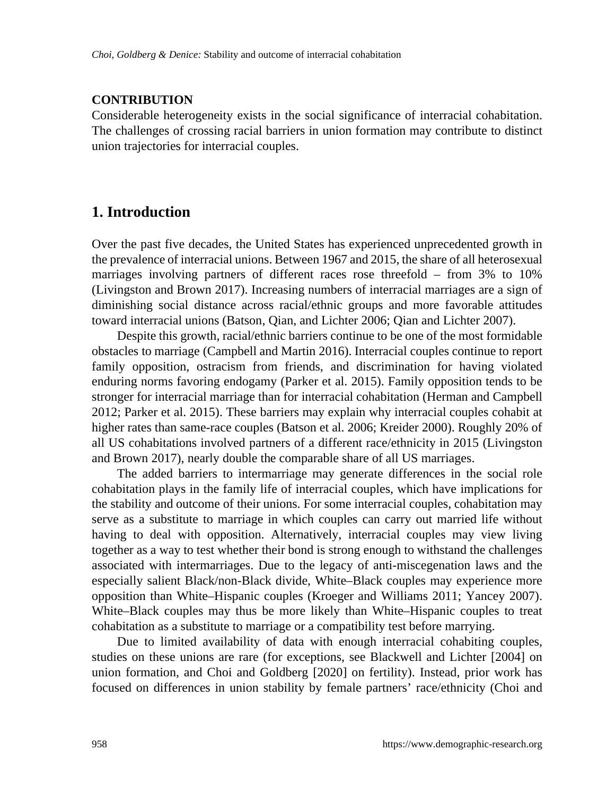### **CONTRIBUTION**

Considerable heterogeneity exists in the social significance of interracial cohabitation. The challenges of crossing racial barriers in union formation may contribute to distinct union trajectories for interracial couples.

## **1. Introduction**

Over the past five decades, the United States has experienced unprecedented growth in the prevalence of interracial unions. Between 1967 and 2015, the share of all heterosexual marriages involving partners of different races rose threefold – from 3% to 10% (Livingston and Brown 2017). Increasing numbers of interracial marriages are a sign of diminishing social distance across racial/ethnic groups and more favorable attitudes toward interracial unions (Batson, Qian, and Lichter 2006; Qian and Lichter 2007).

Despite this growth, racial/ethnic barriers continue to be one of the most formidable obstacles to marriage (Campbell and Martin 2016). Interracial couples continue to report family opposition, ostracism from friends, and discrimination for having violated enduring norms favoring endogamy (Parker et al. 2015). Family opposition tends to be stronger for interracial marriage than for interracial cohabitation (Herman and Campbell 2012; Parker et al. 2015). These barriers may explain why interracial couples cohabit at higher rates than same-race couples (Batson et al. 2006; Kreider 2000). Roughly 20% of all US cohabitations involved partners of a different race/ethnicity in 2015 (Livingston and Brown 2017), nearly double the comparable share of all US marriages.

The added barriers to intermarriage may generate differences in the social role cohabitation plays in the family life of interracial couples, which have implications for the stability and outcome of their unions. For some interracial couples, cohabitation may serve as a substitute to marriage in which couples can carry out married life without having to deal with opposition. Alternatively, interracial couples may view living together as a way to test whether their bond is strong enough to withstand the challenges associated with intermarriages. Due to the legacy of anti-miscegenation laws and the especially salient Black/non-Black divide, White–Black couples may experience more opposition than White–Hispanic couples (Kroeger and Williams 2011; Yancey 2007). White–Black couples may thus be more likely than White–Hispanic couples to treat cohabitation as a substitute to marriage or a compatibility test before marrying.

Due to limited availability of data with enough interracial cohabiting couples, studies on these unions are rare (for exceptions, see Blackwell and Lichter [2004] on union formation, and Choi and Goldberg [2020] on fertility). Instead, prior work has focused on differences in union stability by female partners' race/ethnicity (Choi and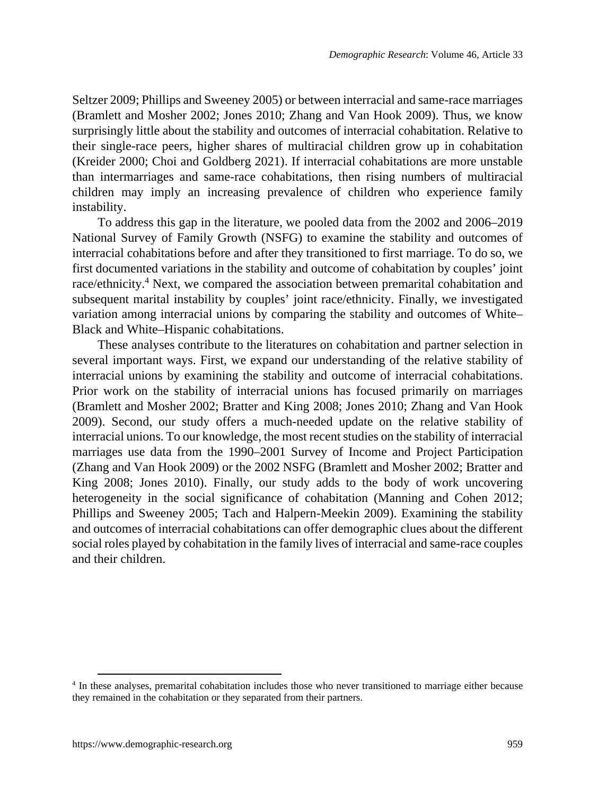Seltzer 2009; Phillips and Sweeney 2005) or between interracial and same-race marriages (Bramlett and Mosher 2002; Jones 2010; Zhang and Van Hook 2009). Thus, we know surprisingly little about the stability and outcomes of interracial cohabitation. Relative to their single-race peers, higher shares of multiracial children grow up in cohabitation (Kreider 2000; Choi and Goldberg 2021). If interracial cohabitations are more unstable than intermarriages and same-race cohabitations, then rising numbers of multiracial children may imply an increasing prevalence of children who experience family instability.

To address this gap in the literature, we pooled data from the 2002 and 2006–2019 National Survey of Family Growth (NSFG) to examine the stability and outcomes of interracial cohabitations before and after they transitioned to first marriage. To do so, we first documented variations in the stability and outcome of cohabitation by couples' joint race/ethnicity.<sup>[4](#page-4-0)</sup> Next, we compared the association between premarital cohabitation and subsequent marital instability by couples' joint race/ethnicity. Finally, we investigated variation among interracial unions by comparing the stability and outcomes of White– Black and White–Hispanic cohabitations.

These analyses contribute to the literatures on cohabitation and partner selection in several important ways. First, we expand our understanding of the relative stability of interracial unions by examining the stability and outcome of interracial cohabitations. Prior work on the stability of interracial unions has focused primarily on marriages (Bramlett and Mosher 2002; Bratter and King 2008; Jones 2010; Zhang and Van Hook 2009). Second, our study offers a much-needed update on the relative stability of interracial unions. To our knowledge, the most recent studies on the stability of interracial marriages use data from the 1990–2001 Survey of Income and Project Participation (Zhang and Van Hook 2009) or the 2002 NSFG (Bramlett and Mosher 2002; Bratter and King 2008; Jones 2010). Finally, our study adds to the body of work uncovering heterogeneity in the social significance of cohabitation (Manning and Cohen 2012; Phillips and Sweeney 2005; Tach and Halpern-Meekin 2009). Examining the stability and outcomes of interracial cohabitations can offer demographic clues about the different social roles played by cohabitation in the family lives of interracial and same-race couples and their children.

<span id="page-4-0"></span><sup>&</sup>lt;sup>4</sup> In these analyses, premarital cohabitation includes those who never transitioned to marriage either because they remained in the cohabitation or they separated from their partners.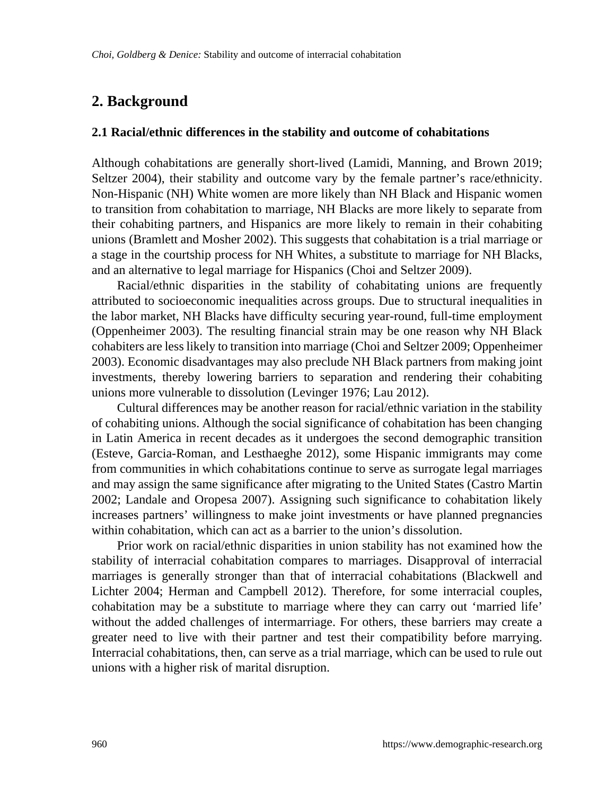# **2. Background**

#### **2.1 Racial/ethnic differences in the stability and outcome of cohabitations**

Although cohabitations are generally short-lived (Lamidi, Manning, and Brown 2019; Seltzer 2004), their stability and outcome vary by the female partner's race/ethnicity. Non-Hispanic (NH) White women are more likely than NH Black and Hispanic women to transition from cohabitation to marriage, NH Blacks are more likely to separate from their cohabiting partners, and Hispanics are more likely to remain in their cohabiting unions (Bramlett and Mosher 2002). This suggests that cohabitation is a trial marriage or a stage in the courtship process for NH Whites, a substitute to marriage for NH Blacks, and an alternative to legal marriage for Hispanics (Choi and Seltzer 2009).

Racial/ethnic disparities in the stability of cohabitating unions are frequently attributed to socioeconomic inequalities across groups. Due to structural inequalities in the labor market, NH Blacks have difficulty securing year-round, full-time employment (Oppenheimer 2003). The resulting financial strain may be one reason why NH Black cohabiters are less likely to transition into marriage (Choi and Seltzer 2009; Oppenheimer 2003). Economic disadvantages may also preclude NH Black partners from making joint investments, thereby lowering barriers to separation and rendering their cohabiting unions more vulnerable to dissolution (Levinger 1976; Lau 2012).

Cultural differences may be another reason for racial/ethnic variation in the stability of cohabiting unions. Although the social significance of cohabitation has been changing in Latin America in recent decades as it undergoes the second demographic transition (Esteve, Garcia-Roman, and Lesthaeghe 2012), some Hispanic immigrants may come from communities in which cohabitations continue to serve as surrogate legal marriages and may assign the same significance after migrating to the United States (Castro Martin 2002; Landale and Oropesa 2007). Assigning such significance to cohabitation likely increases partners' willingness to make joint investments or have planned pregnancies within cohabitation, which can act as a barrier to the union's dissolution.

Prior work on racial/ethnic disparities in union stability has not examined how the stability of interracial cohabitation compares to marriages. Disapproval of interracial marriages is generally stronger than that of interracial cohabitations (Blackwell and Lichter 2004; Herman and Campbell 2012). Therefore, for some interracial couples, cohabitation may be a substitute to marriage where they can carry out 'married life' without the added challenges of intermarriage. For others, these barriers may create a greater need to live with their partner and test their compatibility before marrying. Interracial cohabitations, then, can serve as a trial marriage, which can be used to rule out unions with a higher risk of marital disruption.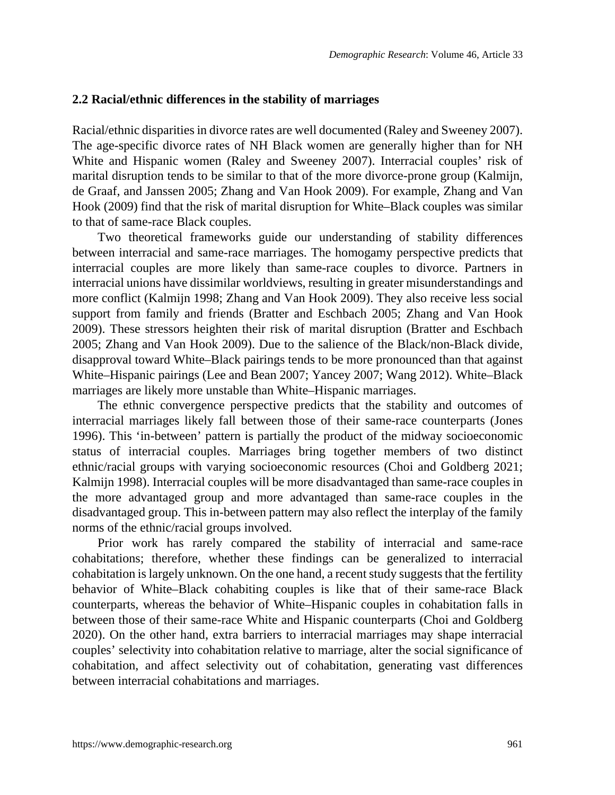#### **2.2 Racial/ethnic differences in the stability of marriages**

Racial/ethnic disparities in divorce rates are well documented (Raley and Sweeney 2007). The age-specific divorce rates of NH Black women are generally higher than for NH White and Hispanic women (Raley and Sweeney 2007). Interracial couples' risk of marital disruption tends to be similar to that of the more divorce-prone group (Kalmijn, de Graaf, and Janssen 2005; Zhang and Van Hook 2009). For example, Zhang and Van Hook (2009) find that the risk of marital disruption for White–Black couples was similar to that of same-race Black couples.

Two theoretical frameworks guide our understanding of stability differences between interracial and same-race marriages. The homogamy perspective predicts that interracial couples are more likely than same-race couples to divorce. Partners in interracial unions have dissimilar worldviews, resulting in greater misunderstandings and more conflict (Kalmijn 1998; Zhang and Van Hook 2009). They also receive less social support from family and friends (Bratter and Eschbach 2005; Zhang and Van Hook 2009). These stressors heighten their risk of marital disruption (Bratter and Eschbach 2005; Zhang and Van Hook 2009). Due to the salience of the Black/non-Black divide, disapproval toward White–Black pairings tends to be more pronounced than that against White–Hispanic pairings (Lee and Bean 2007; Yancey 2007; Wang 2012). White–Black marriages are likely more unstable than White–Hispanic marriages.

The ethnic convergence perspective predicts that the stability and outcomes of interracial marriages likely fall between those of their same-race counterparts (Jones 1996). This 'in-between' pattern is partially the product of the midway socioeconomic status of interracial couples. Marriages bring together members of two distinct ethnic/racial groups with varying socioeconomic resources (Choi and Goldberg 2021; Kalmijn 1998). Interracial couples will be more disadvantaged than same-race couples in the more advantaged group and more advantaged than same-race couples in the disadvantaged group. This in-between pattern may also reflect the interplay of the family norms of the ethnic/racial groups involved.

Prior work has rarely compared the stability of interracial and same-race cohabitations; therefore, whether these findings can be generalized to interracial cohabitation is largely unknown. On the one hand, a recent study suggests that the fertility behavior of White–Black cohabiting couples is like that of their same-race Black counterparts, whereas the behavior of White–Hispanic couples in cohabitation falls in between those of their same-race White and Hispanic counterparts (Choi and Goldberg 2020). On the other hand, extra barriers to interracial marriages may shape interracial couples' selectivity into cohabitation relative to marriage, alter the social significance of cohabitation, and affect selectivity out of cohabitation, generating vast differences between interracial cohabitations and marriages.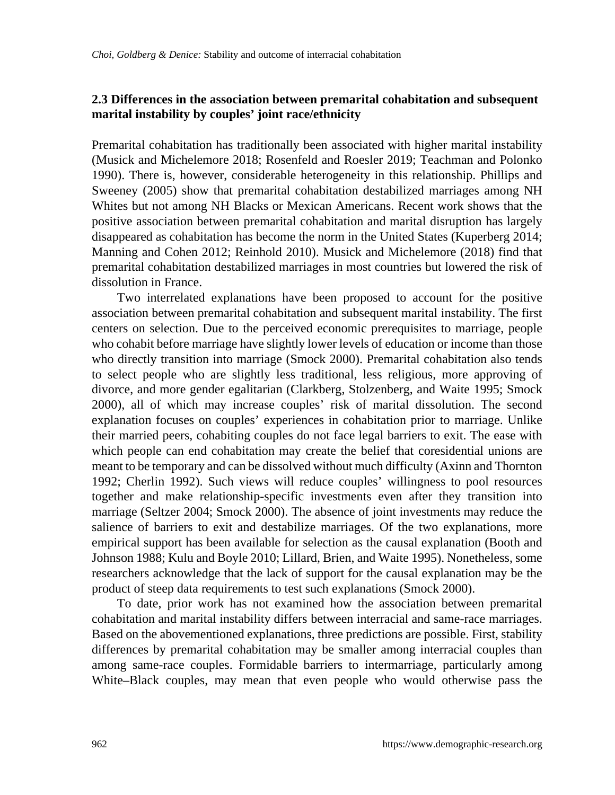### **2.3 Differences in the association between premarital cohabitation and subsequent marital instability by couples' joint race/ethnicity**

Premarital cohabitation has traditionally been associated with higher marital instability (Musick and Michelemore 2018; Rosenfeld and Roesler 2019; Teachman and Polonko 1990). There is, however, considerable heterogeneity in this relationship. Phillips and Sweeney (2005) show that premarital cohabitation destabilized marriages among NH Whites but not among NH Blacks or Mexican Americans. Recent work shows that the positive association between premarital cohabitation and marital disruption has largely disappeared as cohabitation has become the norm in the United States (Kuperberg 2014; Manning and Cohen 2012; Reinhold 2010). Musick and Michelemore (2018) find that premarital cohabitation destabilized marriages in most countries but lowered the risk of dissolution in France.

Two interrelated explanations have been proposed to account for the positive association between premarital cohabitation and subsequent marital instability. The first centers on selection. Due to the perceived economic prerequisites to marriage, people who cohabit before marriage have slightly lower levels of education or income than those who directly transition into marriage (Smock 2000). Premarital cohabitation also tends to select people who are slightly less traditional, less religious, more approving of divorce, and more gender egalitarian (Clarkberg, Stolzenberg, and Waite 1995; Smock 2000), all of which may increase couples' risk of marital dissolution. The second explanation focuses on couples' experiences in cohabitation prior to marriage. Unlike their married peers, cohabiting couples do not face legal barriers to exit. The ease with which people can end cohabitation may create the belief that coresidential unions are meant to be temporary and can be dissolved without much difficulty (Axinn and Thornton 1992; Cherlin 1992). Such views will reduce couples' willingness to pool resources together and make relationship-specific investments even after they transition into marriage (Seltzer 2004; Smock 2000). The absence of joint investments may reduce the salience of barriers to exit and destabilize marriages. Of the two explanations, more empirical support has been available for selection as the causal explanation (Booth and Johnson 1988; Kulu and Boyle 2010; Lillard, Brien, and Waite 1995). Nonetheless, some researchers acknowledge that the lack of support for the causal explanation may be the product of steep data requirements to test such explanations (Smock 2000).

To date, prior work has not examined how the association between premarital cohabitation and marital instability differs between interracial and same-race marriages. Based on the abovementioned explanations, three predictions are possible. First, stability differences by premarital cohabitation may be smaller among interracial couples than among same-race couples. Formidable barriers to intermarriage, particularly among White–Black couples, may mean that even people who would otherwise pass the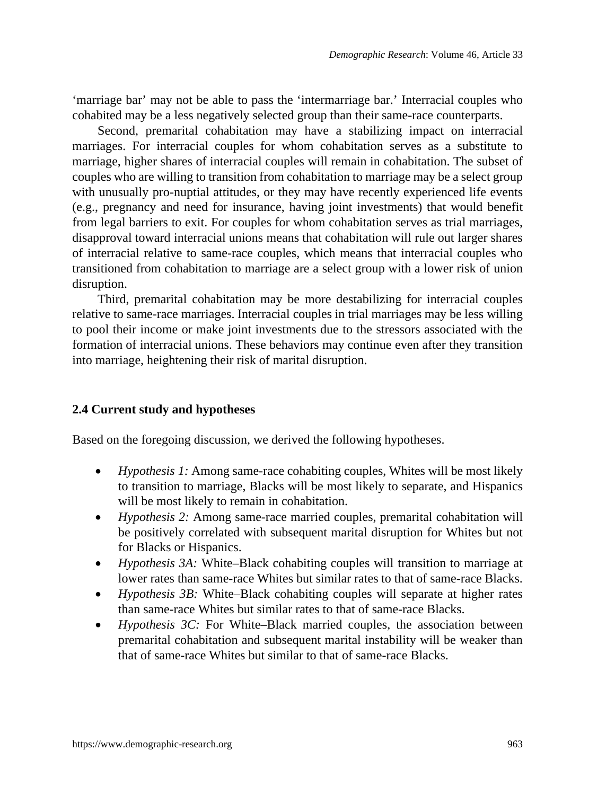'marriage bar' may not be able to pass the 'intermarriage bar.' Interracial couples who cohabited may be a less negatively selected group than their same-race counterparts.

Second, premarital cohabitation may have a stabilizing impact on interracial marriages. For interracial couples for whom cohabitation serves as a substitute to marriage, higher shares of interracial couples will remain in cohabitation. The subset of couples who are willing to transition from cohabitation to marriage may be a select group with unusually pro-nuptial attitudes, or they may have recently experienced life events (e.g., pregnancy and need for insurance, having joint investments) that would benefit from legal barriers to exit. For couples for whom cohabitation serves as trial marriages, disapproval toward interracial unions means that cohabitation will rule out larger shares of interracial relative to same-race couples, which means that interracial couples who transitioned from cohabitation to marriage are a select group with a lower risk of union disruption.

Third, premarital cohabitation may be more destabilizing for interracial couples relative to same-race marriages. Interracial couples in trial marriages may be less willing to pool their income or make joint investments due to the stressors associated with the formation of interracial unions. These behaviors may continue even after they transition into marriage, heightening their risk of marital disruption.

#### **2.4 Current study and hypotheses**

Based on the foregoing discussion, we derived the following hypotheses.

- *Hypothesis 1:* Among same-race cohabiting couples, Whites will be most likely to transition to marriage, Blacks will be most likely to separate, and Hispanics will be most likely to remain in cohabitation.
- *Hypothesis 2:* Among same-race married couples, premarital cohabitation will be positively correlated with subsequent marital disruption for Whites but not for Blacks or Hispanics.
- *Hypothesis 3A:* White–Black cohabiting couples will transition to marriage at lower rates than same-race Whites but similar rates to that of same-race Blacks.
- *Hypothesis 3B:* White–Black cohabiting couples will separate at higher rates than same-race Whites but similar rates to that of same-race Blacks.
- *Hypothesis 3C:* For White–Black married couples, the association between premarital cohabitation and subsequent marital instability will be weaker than that of same-race Whites but similar to that of same-race Blacks.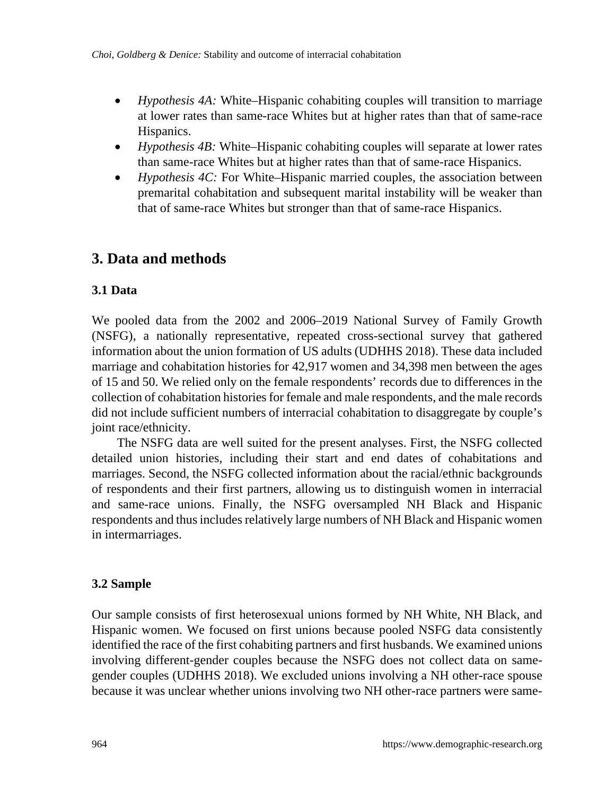- *Hypothesis 4A:* White–Hispanic cohabiting couples will transition to marriage at lower rates than same-race Whites but at higher rates than that of same-race Hispanics.
- *Hypothesis 4B:* White–Hispanic cohabiting couples will separate at lower rates than same-race Whites but at higher rates than that of same-race Hispanics.
- *Hypothesis 4C:* For White–Hispanic married couples, the association between premarital cohabitation and subsequent marital instability will be weaker than that of same-race Whites but stronger than that of same-race Hispanics.

# **3. Data and methods**

## **3.1 Data**

We pooled data from the 2002 and 2006–2019 National Survey of Family Growth (NSFG), a nationally representative, repeated cross-sectional survey that gathered information about the union formation of US adults (UDHHS 2018). These data included marriage and cohabitation histories for 42,917 women and 34,398 men between the ages of 15 and 50. We relied only on the female respondents' records due to differences in the collection of cohabitation histories for female and male respondents, and the male records did not include sufficient numbers of interracial cohabitation to disaggregate by couple's joint race/ethnicity.

The NSFG data are well suited for the present analyses. First, the NSFG collected detailed union histories, including their start and end dates of cohabitations and marriages. Second, the NSFG collected information about the racial/ethnic backgrounds of respondents and their first partners, allowing us to distinguish women in interracial and same-race unions. Finally, the NSFG oversampled NH Black and Hispanic respondents and thus includes relatively large numbers of NH Black and Hispanic women in intermarriages.

## **3.2 Sample**

Our sample consists of first heterosexual unions formed by NH White, NH Black, and Hispanic women. We focused on first unions because pooled NSFG data consistently identified the race of the first cohabiting partners and first husbands. We examined unions involving different-gender couples because the NSFG does not collect data on samegender couples (UDHHS 2018). We excluded unions involving a NH other-race spouse because it was unclear whether unions involving two NH other-race partners were same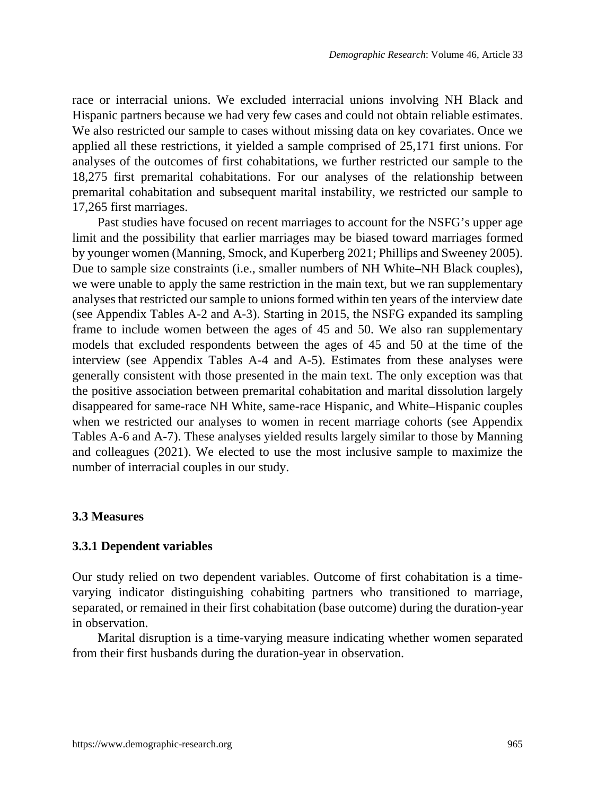race or interracial unions. We excluded interracial unions involving NH Black and Hispanic partners because we had very few cases and could not obtain reliable estimates. We also restricted our sample to cases without missing data on key covariates. Once we applied all these restrictions, it yielded a sample comprised of 25,171 first unions. For analyses of the outcomes of first cohabitations, we further restricted our sample to the 18,275 first premarital cohabitations. For our analyses of the relationship between premarital cohabitation and subsequent marital instability, we restricted our sample to 17,265 first marriages.

Past studies have focused on recent marriages to account for the NSFG's upper age limit and the possibility that earlier marriages may be biased toward marriages formed by younger women (Manning, Smock, and Kuperberg 2021; Phillips and Sweeney 2005). Due to sample size constraints (i.e., smaller numbers of NH White–NH Black couples), we were unable to apply the same restriction in the main text, but we ran supplementary analyses that restricted our sample to unions formed within ten years of the interview date (see Appendix Tables A-2 and A-3). Starting in 2015, the NSFG expanded its sampling frame to include women between the ages of 45 and 50. We also ran supplementary models that excluded respondents between the ages of 45 and 50 at the time of the interview (see Appendix Tables A-4 and A-5). Estimates from these analyses were generally consistent with those presented in the main text. The only exception was that the positive association between premarital cohabitation and marital dissolution largely disappeared for same-race NH White, same-race Hispanic, and White–Hispanic couples when we restricted our analyses to women in recent marriage cohorts (see Appendix Tables A-6 and A-7). These analyses yielded results largely similar to those by Manning and colleagues (2021). We elected to use the most inclusive sample to maximize the number of interracial couples in our study.

#### **3.3 Measures**

#### **3.3.1 Dependent variables**

Our study relied on two dependent variables. Outcome of first cohabitation is a timevarying indicator distinguishing cohabiting partners who transitioned to marriage, separated, or remained in their first cohabitation (base outcome) during the duration-year in observation.

Marital disruption is a time-varying measure indicating whether women separated from their first husbands during the duration-year in observation.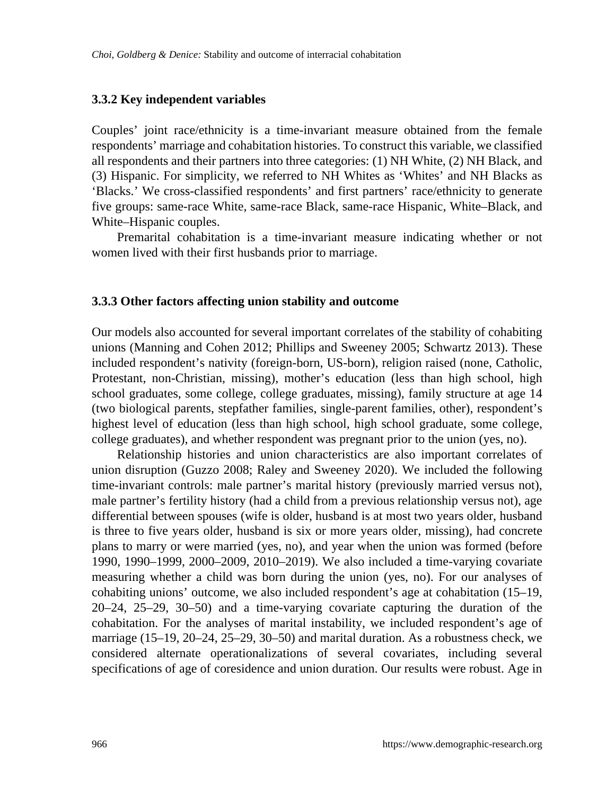#### **3.3.2 Key independent variables**

Couples' joint race/ethnicity is a time-invariant measure obtained from the female respondents' marriage and cohabitation histories. To construct this variable, we classified all respondents and their partners into three categories: (1) NH White, (2) NH Black, and (3) Hispanic. For simplicity, we referred to NH Whites as 'Whites' and NH Blacks as 'Blacks.' We cross-classified respondents' and first partners' race/ethnicity to generate five groups: same-race White, same-race Black, same-race Hispanic, White–Black, and White–Hispanic couples.

Premarital cohabitation is a time-invariant measure indicating whether or not women lived with their first husbands prior to marriage.

#### **3.3.3 Other factors affecting union stability and outcome**

Our models also accounted for several important correlates of the stability of cohabiting unions (Manning and Cohen 2012; Phillips and Sweeney 2005; Schwartz 2013). These included respondent's nativity (foreign-born, US-born), religion raised (none, Catholic, Protestant, non-Christian, missing), mother's education (less than high school, high school graduates, some college, college graduates, missing), family structure at age 14 (two biological parents, stepfather families, single-parent families, other), respondent's highest level of education (less than high school, high school graduate, some college, college graduates), and whether respondent was pregnant prior to the union (yes, no).

Relationship histories and union characteristics are also important correlates of union disruption (Guzzo 2008; Raley and Sweeney 2020). We included the following time-invariant controls: male partner's marital history (previously married versus not), male partner's fertility history (had a child from a previous relationship versus not), age differential between spouses (wife is older, husband is at most two years older, husband is three to five years older, husband is six or more years older, missing), had concrete plans to marry or were married (yes, no), and year when the union was formed (before 1990, 1990–1999, 2000–2009, 2010–2019). We also included a time-varying covariate measuring whether a child was born during the union (yes, no). For our analyses of cohabiting unions' outcome, we also included respondent's age at cohabitation (15–19, 20–24, 25–29, 30–50) and a time-varying covariate capturing the duration of the cohabitation. For the analyses of marital instability, we included respondent's age of marriage (15–19, 20–24, 25–29, 30–50) and marital duration. As a robustness check, we considered alternate operationalizations of several covariates, including several specifications of age of coresidence and union duration. Our results were robust. Age in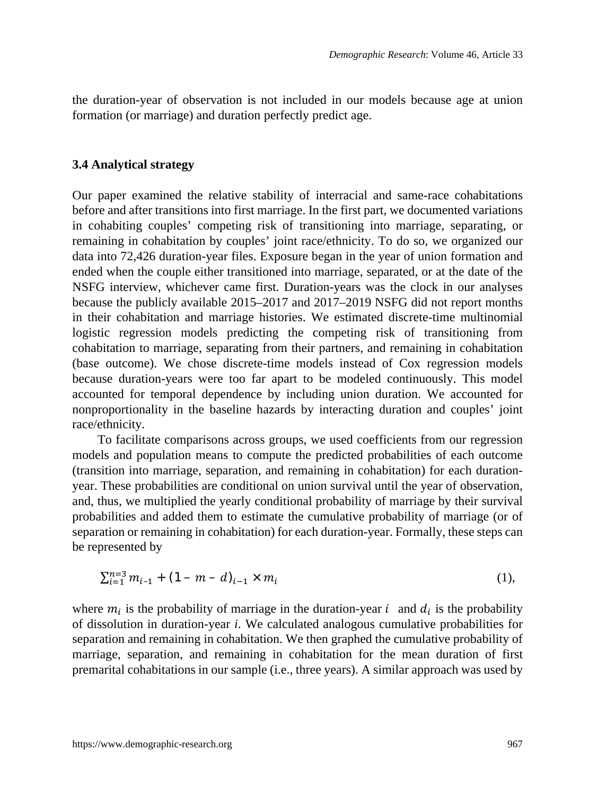the duration-year of observation is not included in our models because age at union formation (or marriage) and duration perfectly predict age.

#### **3.4 Analytical strategy**

Our paper examined the relative stability of interracial and same-race cohabitations before and after transitions into first marriage. In the first part, we documented variations in cohabiting couples' competing risk of transitioning into marriage, separating, or remaining in cohabitation by couples' joint race/ethnicity. To do so, we organized our data into 72,426 duration-year files. Exposure began in the year of union formation and ended when the couple either transitioned into marriage, separated, or at the date of the NSFG interview, whichever came first. Duration-years was the clock in our analyses because the publicly available 2015–2017 and 2017–2019 NSFG did not report months in their cohabitation and marriage histories. We estimated discrete-time multinomial logistic regression models predicting the competing risk of transitioning from cohabitation to marriage, separating from their partners, and remaining in cohabitation (base outcome). We chose discrete-time models instead of Cox regression models because duration-years were too far apart to be modeled continuously. This model accounted for temporal dependence by including union duration. We accounted for nonproportionality in the baseline hazards by interacting duration and couples' joint race/ethnicity.

To facilitate comparisons across groups, we used coefficients from our regression models and population means to compute the predicted probabilities of each outcome (transition into marriage, separation, and remaining in cohabitation) for each durationyear. These probabilities are conditional on union survival until the year of observation, and, thus, we multiplied the yearly conditional probability of marriage by their survival probabilities and added them to estimate the cumulative probability of marriage (or of separation or remaining in cohabitation) for each duration-year. Formally, these steps can be represented by

$$
\sum_{i=1}^{n=3} m_{i-1} + (1 - m - d)_{i-1} \times m_i \tag{1},
$$

where  $m_i$  is the probability of marriage in the duration-year  $i$  and  $d_i$  is the probability of dissolution in duration-year *i*. We calculated analogous cumulative probabilities for separation and remaining in cohabitation. We then graphed the cumulative probability of marriage, separation, and remaining in cohabitation for the mean duration of first premarital cohabitations in our sample (i.e., three years). A similar approach was used by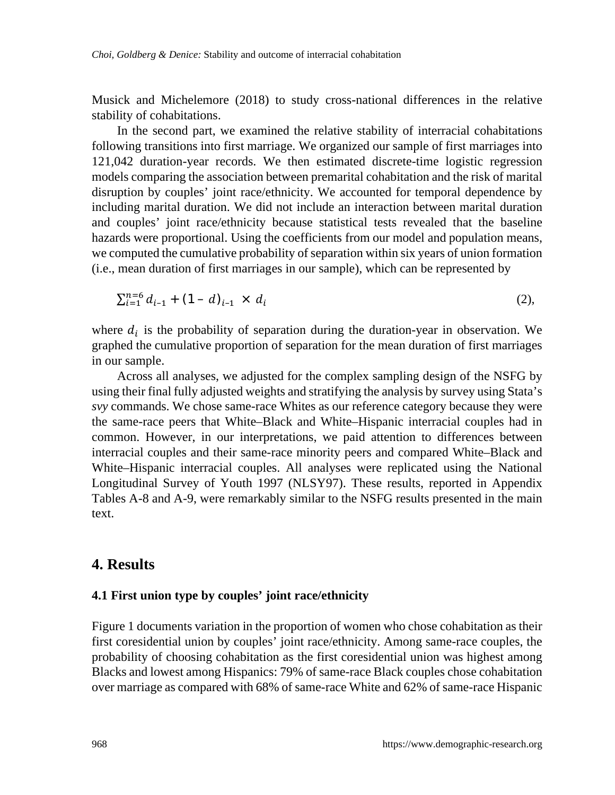Musick and Michelemore (2018) to study cross-national differences in the relative stability of cohabitations.

In the second part, we examined the relative stability of interracial cohabitations following transitions into first marriage. We organized our sample of first marriages into 121,042 duration-year records. We then estimated discrete-time logistic regression models comparing the association between premarital cohabitation and the risk of marital disruption by couples' joint race/ethnicity. We accounted for temporal dependence by including marital duration. We did not include an interaction between marital duration and couples' joint race/ethnicity because statistical tests revealed that the baseline hazards were proportional. Using the coefficients from our model and population means, we computed the cumulative probability of separation within six years of union formation (i.e., mean duration of first marriages in our sample), which can be represented by

$$
\sum_{i=1}^{n=6} d_{i-1} + (1-d)_{i-1} \times d_i \tag{2},
$$

where  $d_i$  is the probability of separation during the duration-year in observation. We graphed the cumulative proportion of separation for the mean duration of first marriages in our sample.

Across all analyses, we adjusted for the complex sampling design of the NSFG by using their final fully adjusted weights and stratifying the analysis by survey using Stata's *svy* commands. We chose same-race Whites as our reference category because they were the same-race peers that White–Black and White–Hispanic interracial couples had in common. However, in our interpretations, we paid attention to differences between interracial couples and their same-race minority peers and compared White–Black and White–Hispanic interracial couples. All analyses were replicated using the National Longitudinal Survey of Youth 1997 (NLSY97). These results, reported in Appendix Tables A-8 and A-9, were remarkably similar to the NSFG results presented in the main text.

### **4. Results**

#### **4.1 First union type by couples' joint race/ethnicity**

Figure 1 documents variation in the proportion of women who chose cohabitation as their first coresidential union by couples' joint race/ethnicity. Among same-race couples, the probability of choosing cohabitation as the first coresidential union was highest among Blacks and lowest among Hispanics: 79% of same-race Black couples chose cohabitation over marriage as compared with 68% of same-race White and 62% of same-race Hispanic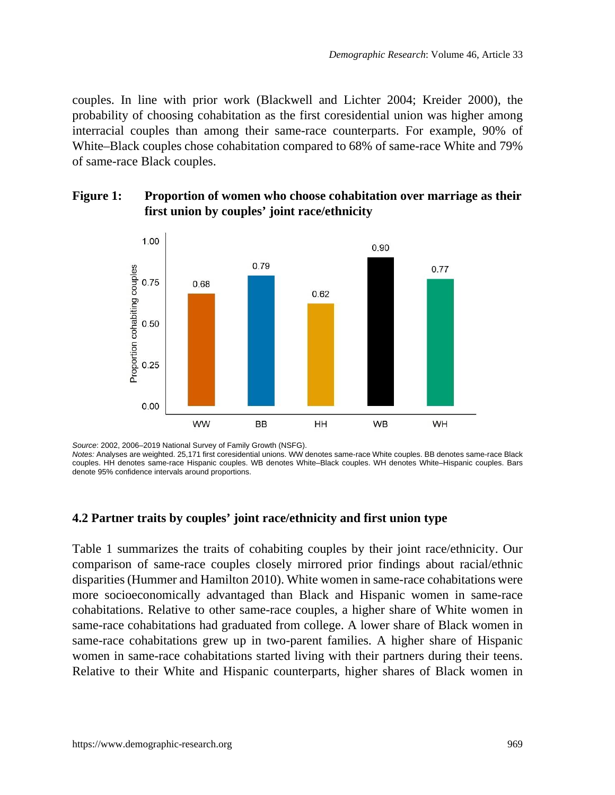couples. In line with prior work (Blackwell and Lichter 2004; Kreider 2000), the probability of choosing cohabitation as the first coresidential union was higher among interracial couples than among their same-race counterparts. For example, 90% of White–Black couples chose cohabitation compared to 68% of same-race White and 79% of same-race Black couples.

### **Figure 1: Proportion of women who choose cohabitation over marriage as their first union by couples' joint race/ethnicity**



*Source*: 2002, 2006–2019 National Survey of Family Growth (NSFG).

*Notes:* Analyses are weighted. 25,171 first coresidential unions. WW denotes same-race White couples. BB denotes same-race Black couples. HH denotes same-race Hispanic couples. WB denotes White–Black couples. WH denotes White–Hispanic couples. Bars denote 95% confidence intervals around proportions.

### **4.2 Partner traits by couples' joint race/ethnicity and first union type**

Table 1 summarizes the traits of cohabiting couples by their joint race/ethnicity. Our comparison of same-race couples closely mirrored prior findings about racial/ethnic disparities (Hummer and Hamilton 2010). White women in same-race cohabitations were more socioeconomically advantaged than Black and Hispanic women in same-race cohabitations. Relative to other same-race couples, a higher share of White women in same-race cohabitations had graduated from college. A lower share of Black women in same-race cohabitations grew up in two-parent families. A higher share of Hispanic women in same-race cohabitations started living with their partners during their teens. Relative to their White and Hispanic counterparts, higher shares of Black women in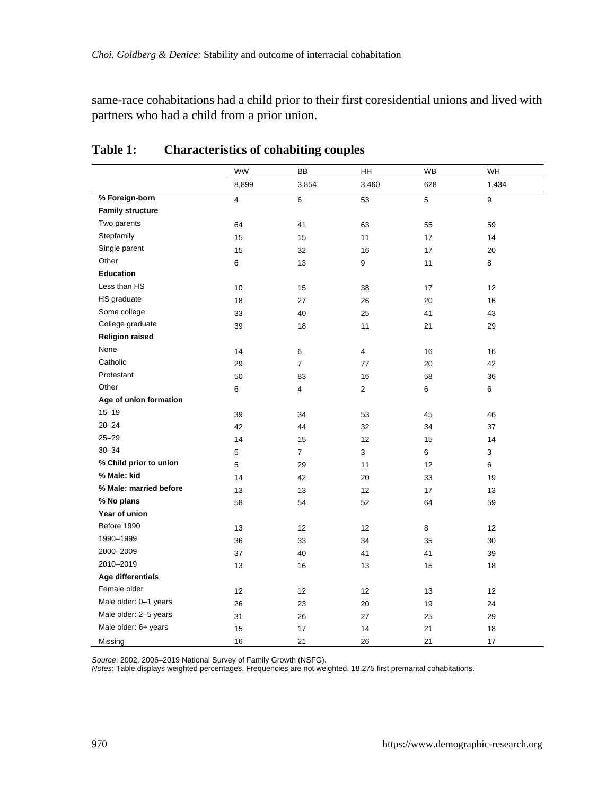same-race cohabitations had a child prior to their first coresidential unions and lived with partners who had a child from a prior union.

|                         | <b>WW</b>               | BB               | HH             | WB  | WH    |
|-------------------------|-------------------------|------------------|----------------|-----|-------|
|                         | 8,899                   | 3,854            | 3,460          | 628 | 1,434 |
| % Foreign-born          | $\overline{\mathbf{4}}$ | $\boldsymbol{6}$ | 53             | 5   | 9     |
| <b>Family structure</b> |                         |                  |                |     |       |
| Two parents             | 64                      | 41               | 63             | 55  | 59    |
| Stepfamily              | 15                      | 15               | 11             | 17  | 14    |
| Single parent           | 15                      | 32               | 16             | 17  | 20    |
| Other                   | 6                       | 13               | 9              | 11  | 8     |
| Education               |                         |                  |                |     |       |
| Less than HS            | 10                      | 15               | 38             | 17  | 12    |
| HS graduate             | 18                      | 27               | 26             | 20  | 16    |
| Some college            | 33                      | 40               | 25             | 41  | 43    |
| College graduate        | 39                      | 18               | 11             | 21  | 29    |
| <b>Religion raised</b>  |                         |                  |                |     |       |
| None                    | 14                      | 6                | $\overline{4}$ | 16  | 16    |
| Catholic                | 29                      | $\overline{7}$   | 77             | 20  | 42    |
| Protestant              | 50                      | 83               | 16             | 58  | 36    |
| Other                   | 6                       | $\overline{4}$   | $\overline{2}$ | 6   | 6     |
| Age of union formation  |                         |                  |                |     |       |
| $15 - 19$               | 39                      | 34               | 53             | 45  | 46    |
| $20 - 24$               | 42                      | 44               | 32             | 34  | 37    |
| $25 - 29$               | 14                      | 15               | 12             | 15  | 14    |
| $30 - 34$               | 5                       | $\overline{7}$   | 3              | 6   | 3     |
| % Child prior to union  | 5                       | 29               | 11             | 12  | 6     |
| % Male: kid             | 14                      | 42               | 20             | 33  | 19    |
| % Male: married before  | 13                      | 13               | 12             | 17  | 13    |
| % No plans              | 58                      | 54               | 52             | 64  | 59    |
| Year of union           |                         |                  |                |     |       |
| Before 1990             | 13                      | 12               | 12             | 8   | 12    |
| 1990-1999               | 36                      | 33               | 34             | 35  | 30    |
| 2000-2009               | 37                      | 40               | 41             | 41  | 39    |
| 2010-2019               | 13                      | 16               | 13             | 15  | 18    |
| Age differentials       |                         |                  |                |     |       |
| Female older            | 12                      | 12               | 12             | 13  | 12    |
| Male older: 0-1 years   | 26                      | 23               | 20             | 19  | 24    |
| Male older: 2-5 years   | 31                      | 26               | 27             | 25  | 29    |
| Male older: 6+ years    | 15                      | 17               | 14             | 21  | 18    |
| Missing                 | 16                      | 21               | 26             | 21  | 17    |

## **Table 1: Characteristics of cohabiting couples**

*Source*: 2002, 2006–2019 National Survey of Family Growth (NSFG).

*Notes*: Table displays weighted percentages. Frequencies are not weighted. 18,275 first premarital cohabitations.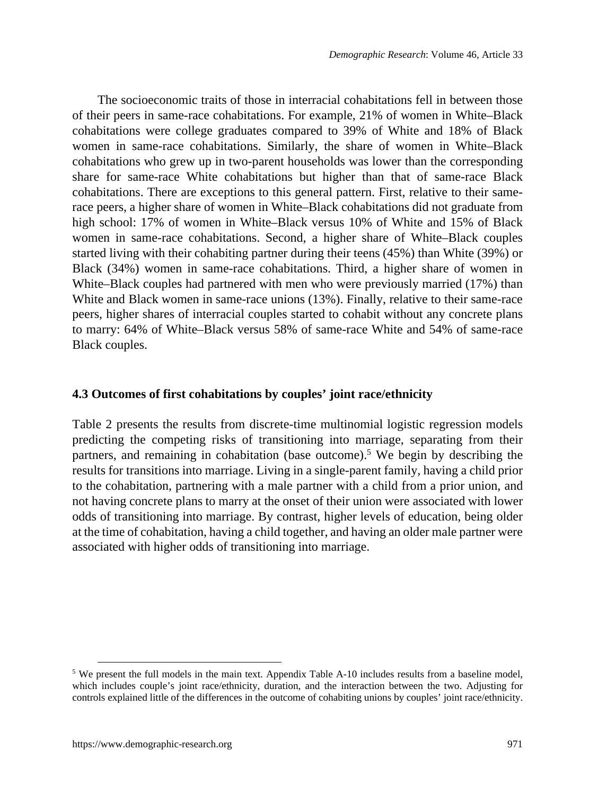The socioeconomic traits of those in interracial cohabitations fell in between those of their peers in same-race cohabitations. For example, 21% of women in White–Black cohabitations were college graduates compared to 39% of White and 18% of Black women in same-race cohabitations. Similarly, the share of women in White–Black cohabitations who grew up in two-parent households was lower than the corresponding share for same-race White cohabitations but higher than that of same-race Black cohabitations. There are exceptions to this general pattern. First, relative to their samerace peers, a higher share of women in White–Black cohabitations did not graduate from high school: 17% of women in White–Black versus 10% of White and 15% of Black women in same-race cohabitations. Second, a higher share of White–Black couples started living with their cohabiting partner during their teens (45%) than White (39%) or Black (34%) women in same-race cohabitations. Third, a higher share of women in White–Black couples had partnered with men who were previously married (17%) than White and Black women in same-race unions (13%). Finally, relative to their same-race peers, higher shares of interracial couples started to cohabit without any concrete plans to marry: 64% of White–Black versus 58% of same-race White and 54% of same-race Black couples.

#### **4.3 Outcomes of first cohabitations by couples' joint race/ethnicity**

Table 2 presents the results from discrete-time multinomial logistic regression models predicting the competing risks of transitioning into marriage, separating from their partners, and remaining in cohabitation (base outcome).<sup>[5](#page-16-0)</sup> We begin by describing the results for transitions into marriage. Living in a single-parent family, having a child prior to the cohabitation, partnering with a male partner with a child from a prior union, and not having concrete plans to marry at the onset of their union were associated with lower odds of transitioning into marriage. By contrast, higher levels of education, being older at the time of cohabitation, having a child together, and having an older male partner were associated with higher odds of transitioning into marriage.

<span id="page-16-0"></span><sup>&</sup>lt;sup>5</sup> We present the full models in the main text. Appendix Table A-10 includes results from a baseline model, which includes couple's joint race/ethnicity, duration, and the interaction between the two. Adjusting for controls explained little of the differences in the outcome of cohabiting unions by couples' joint race/ethnicity.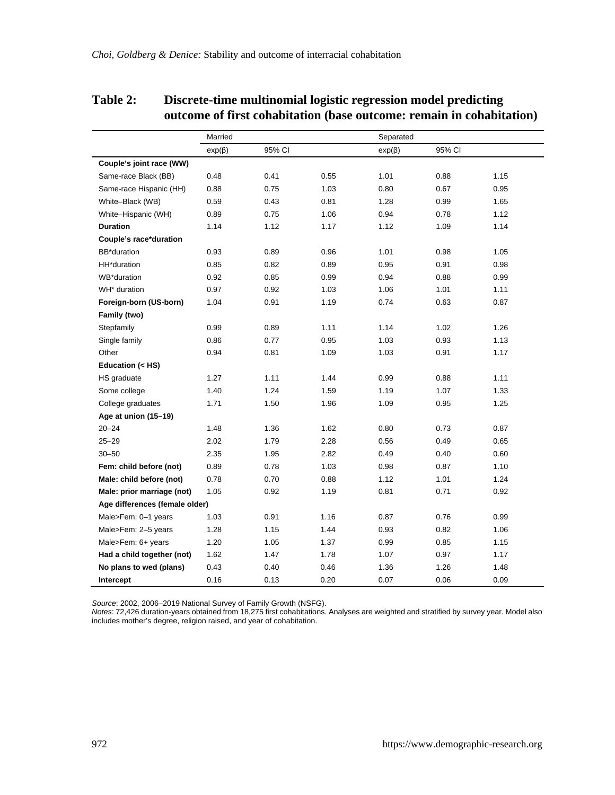## **Table 2: Discrete-time multinomial logistic regression model predicting outcome of first cohabitation (base outcome: remain in cohabitation)**

|                                | Married      |        | Separated |              |        |      |
|--------------------------------|--------------|--------|-----------|--------------|--------|------|
|                                | $exp(\beta)$ | 95% CI |           | $exp(\beta)$ | 95% CI |      |
| Couple's joint race (WW)       |              |        |           |              |        |      |
| Same-race Black (BB)           | 0.48         | 0.41   | 0.55      | 1.01         | 0.88   | 1.15 |
| Same-race Hispanic (HH)        | 0.88         | 0.75   | 1.03      | 0.80         | 0.67   | 0.95 |
| White-Black (WB)               | 0.59         | 0.43   | 0.81      | 1.28         | 0.99   | 1.65 |
| White-Hispanic (WH)            | 0.89         | 0.75   | 1.06      | 0.94         | 0.78   | 1.12 |
| <b>Duration</b>                | 1.14         | 1.12   | 1.17      | 1.12         | 1.09   | 1.14 |
| Couple's race*duration         |              |        |           |              |        |      |
| BB*duration                    | 0.93         | 0.89   | 0.96      | 1.01         | 0.98   | 1.05 |
| HH*duration                    | 0.85         | 0.82   | 0.89      | 0.95         | 0.91   | 0.98 |
| WB*duration                    | 0.92         | 0.85   | 0.99      | 0.94         | 0.88   | 0.99 |
| WH* duration                   | 0.97         | 0.92   | 1.03      | 1.06         | 1.01   | 1.11 |
| Foreign-born (US-born)         | 1.04         | 0.91   | 1.19      | 0.74         | 0.63   | 0.87 |
| Family (two)                   |              |        |           |              |        |      |
| Stepfamily                     | 0.99         | 0.89   | 1.11      | 1.14         | 1.02   | 1.26 |
| Single family                  | 0.86         | 0.77   | 0.95      | 1.03         | 0.93   | 1.13 |
| Other                          | 0.94         | 0.81   | 1.09      | 1.03         | 0.91   | 1.17 |
| Education (< HS)               |              |        |           |              |        |      |
| HS graduate                    | 1.27         | 1.11   | 1.44      | 0.99         | 0.88   | 1.11 |
| Some college                   | 1.40         | 1.24   | 1.59      | 1.19         | 1.07   | 1.33 |
| College graduates              | 1.71         | 1.50   | 1.96      | 1.09         | 0.95   | 1.25 |
| Age at union (15-19)           |              |        |           |              |        |      |
| $20 - 24$                      | 1.48         | 1.36   | 1.62      | 0.80         | 0.73   | 0.87 |
| $25 - 29$                      | 2.02         | 1.79   | 2.28      | 0.56         | 0.49   | 0.65 |
| $30 - 50$                      | 2.35         | 1.95   | 2.82      | 0.49         | 0.40   | 0.60 |
| Fem: child before (not)        | 0.89         | 0.78   | 1.03      | 0.98         | 0.87   | 1.10 |
| Male: child before (not)       | 0.78         | 0.70   | 0.88      | 1.12         | 1.01   | 1.24 |
| Male: prior marriage (not)     | 1.05         | 0.92   | 1.19      | 0.81         | 0.71   | 0.92 |
| Age differences (female older) |              |        |           |              |        |      |
| Male>Fem: 0-1 years            | 1.03         | 0.91   | 1.16      | 0.87         | 0.76   | 0.99 |
| Male>Fem: 2-5 years            | 1.28         | 1.15   | 1.44      | 0.93         | 0.82   | 1.06 |
| Male>Fem: 6+ years             | 1.20         | 1.05   | 1.37      | 0.99         | 0.85   | 1.15 |
| Had a child together (not)     | 1.62         | 1.47   | 1.78      | 1.07         | 0.97   | 1.17 |
| No plans to wed (plans)        | 0.43         | 0.40   | 0.46      | 1.36         | 1.26   | 1.48 |
| Intercept                      | 0.16         | 0.13   | 0.20      | 0.07         | 0.06   | 0.09 |

*Source: 2*002, 2006–2019 National Survey of Family Growth (NSFG).<br>*Notes:* 72,426 duration-years obtained from 18,275 first cohabitations. Analyses are weighted and stratified by survey year. Model also<br>Includes mother's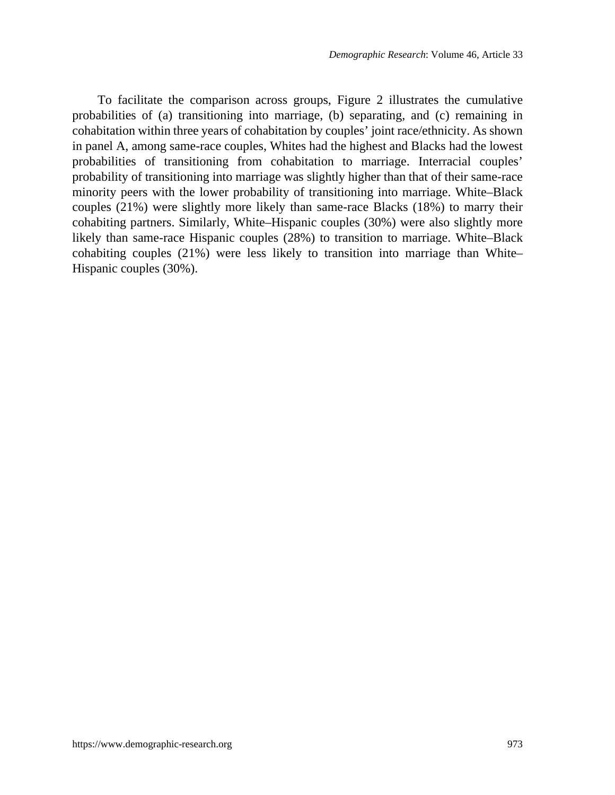To facilitate the comparison across groups, Figure 2 illustrates the cumulative probabilities of (a) transitioning into marriage, (b) separating, and (c) remaining in cohabitation within three years of cohabitation by couples' joint race/ethnicity. As shown in panel A, among same-race couples, Whites had the highest and Blacks had the lowest probabilities of transitioning from cohabitation to marriage. Interracial couples' probability of transitioning into marriage was slightly higher than that of their same-race minority peers with the lower probability of transitioning into marriage. White–Black couples (21%) were slightly more likely than same-race Blacks (18%) to marry their cohabiting partners. Similarly, White–Hispanic couples (30%) were also slightly more likely than same-race Hispanic couples (28%) to transition to marriage. White–Black cohabiting couples (21%) were less likely to transition into marriage than White– Hispanic couples (30%).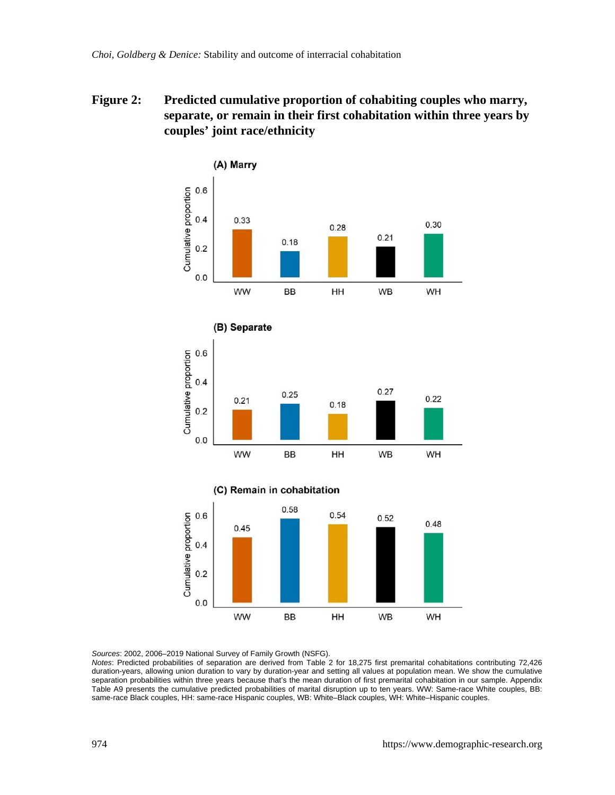## **Figure 2: Predicted cumulative proportion of cohabiting couples who marry, separate, or remain in their first cohabitation within three years by couples' joint race/ethnicity**



*Sources*: 2002, 2006–2019 National Survey of Family Growth (NSFG).

*Notes*: Predicted probabilities of separation are derived from Table 2 for 18,275 first premarital cohabitations contributing 72,426 duration-years, allowing union duration to vary by duration-year and setting all values at population mean. We show the cumulative separation probabilities within three years because that's the mean duration of first premarital cohabitation in our sample. Appendix Table A9 presents the cumulative predicted probabilities of marital disruption up to ten years. WW: Same-race White couples, BB: same-race Black couples, HH: same-race Hispanic couples, WB: White–Black couples, WH: White–Hispanic couples.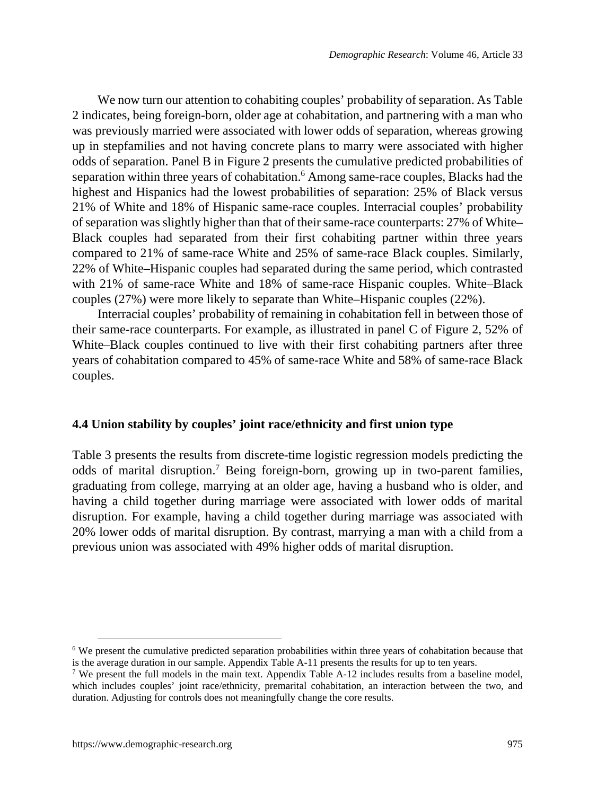We now turn our attention to cohabiting couples' probability of separation. As Table 2 indicates, being foreign-born, older age at cohabitation, and partnering with a man who was previously married were associated with lower odds of separation, whereas growing up in stepfamilies and not having concrete plans to marry were associated with higher odds of separation. Panel B in Figure 2 presents the cumulative predicted probabilities of separation within three years of cohabitation.<sup>[6](#page-20-0)</sup> Among same-race couples, Blacks had the highest and Hispanics had the lowest probabilities of separation: 25% of Black versus 21% of White and 18% of Hispanic same-race couples. Interracial couples' probability of separation was slightly higher than that of their same-race counterparts: 27% of White– Black couples had separated from their first cohabiting partner within three years compared to 21% of same-race White and 25% of same-race Black couples. Similarly, 22% of White–Hispanic couples had separated during the same period, which contrasted with 21% of same-race White and 18% of same-race Hispanic couples. White–Black couples (27%) were more likely to separate than White–Hispanic couples (22%).

Interracial couples' probability of remaining in cohabitation fell in between those of their same-race counterparts. For example, as illustrated in panel C of Figure 2, 52% of White–Black couples continued to live with their first cohabiting partners after three years of cohabitation compared to 45% of same-race White and 58% of same-race Black couples.

#### **4.4 Union stability by couples' joint race/ethnicity and first union type**

Table 3 presents the results from discrete-time logistic regression models predicting the odds of marital disruption.<sup>[7](#page-20-1)</sup> Being foreign-born, growing up in two-parent families, graduating from college, marrying at an older age, having a husband who is older, and having a child together during marriage were associated with lower odds of marital disruption. For example, having a child together during marriage was associated with 20% lower odds of marital disruption. By contrast, marrying a man with a child from a previous union was associated with 49% higher odds of marital disruption.

<span id="page-20-0"></span><sup>&</sup>lt;sup>6</sup> We present the cumulative predicted separation probabilities within three years of cohabitation because that is the average duration in our sample. Appendix Table A-11 presents the results for up to ten years.

<span id="page-20-1"></span><sup>&</sup>lt;sup>7</sup> We present the full models in the main text. Appendix Table A-12 includes results from a baseline model, which includes couples' joint race/ethnicity, premarital cohabitation, an interaction between the two, and duration. Adjusting for controls does not meaningfully change the core results.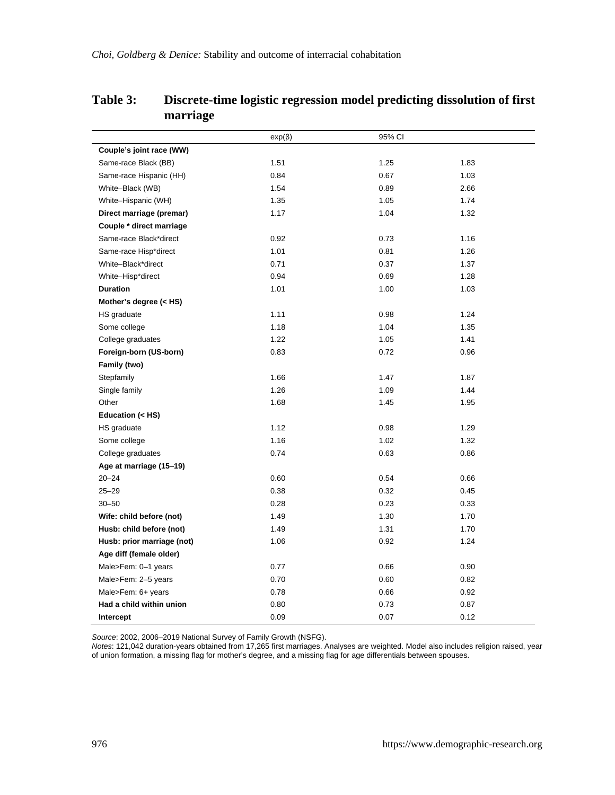|                            | $exp(\beta)$ | 95% CI |      |
|----------------------------|--------------|--------|------|
| Couple's joint race (WW)   |              |        |      |
| Same-race Black (BB)       | 1.51         | 1.25   | 1.83 |
| Same-race Hispanic (HH)    | 0.84         | 0.67   | 1.03 |
| White-Black (WB)           | 1.54         | 0.89   | 2.66 |
| White-Hispanic (WH)        | 1.35         | 1.05   | 1.74 |
| Direct marriage (premar)   | 1.17         | 1.04   | 1.32 |
| Couple * direct marriage   |              |        |      |
| Same-race Black*direct     | 0.92         | 0.73   | 1.16 |
| Same-race Hisp*direct      | 1.01         | 0.81   | 1.26 |
| White-Black*direct         | 0.71         | 0.37   | 1.37 |
| White-Hisp*direct          | 0.94         | 0.69   | 1.28 |
| <b>Duration</b>            | 1.01         | 1.00   | 1.03 |
| Mother's degree (< HS)     |              |        |      |
| HS graduate                | 1.11         | 0.98   | 1.24 |
| Some college               | 1.18         | 1.04   | 1.35 |
| College graduates          | 1.22         | 1.05   | 1.41 |
| Foreign-born (US-born)     | 0.83         | 0.72   | 0.96 |
| Family (two)               |              |        |      |
| Stepfamily                 | 1.66         | 1.47   | 1.87 |
| Single family              | 1.26         | 1.09   | 1.44 |
| Other                      | 1.68         | 1.45   | 1.95 |
| Education (< HS)           |              |        |      |
| HS graduate                | 1.12         | 0.98   | 1.29 |
| Some college               | 1.16         | 1.02   | 1.32 |
| College graduates          | 0.74         | 0.63   | 0.86 |
| Age at marriage (15-19)    |              |        |      |
| $20 - 24$                  | 0.60         | 0.54   | 0.66 |
| $25 - 29$                  | 0.38         | 0.32   | 0.45 |
| $30 - 50$                  | 0.28         | 0.23   | 0.33 |
| Wife: child before (not)   | 1.49         | 1.30   | 1.70 |
| Husb: child before (not)   | 1.49         | 1.31   | 1.70 |
| Husb: prior marriage (not) | 1.06         | 0.92   | 1.24 |
| Age diff (female older)    |              |        |      |
| Male>Fem: 0-1 years        | 0.77         | 0.66   | 0.90 |
| Male>Fem: 2-5 years        | 0.70         | 0.60   | 0.82 |
| Male>Fem: 6+ years         | 0.78         | 0.66   | 0.92 |
| Had a child within union   | 0.80         | 0.73   | 0.87 |
| Intercept                  | 0.09         | 0.07   | 0.12 |

## **Table 3: Discrete-time logistic regression model predicting dissolution of first marriage**

*Source:* 2002, 2006–2019 National Survey of Family Growth (NSFG).<br>*Notes:* 121,042 duration-years obtained from 17,265 first marriages. Analyses are weighted. Model also includes religion raised, year<br>of union formation,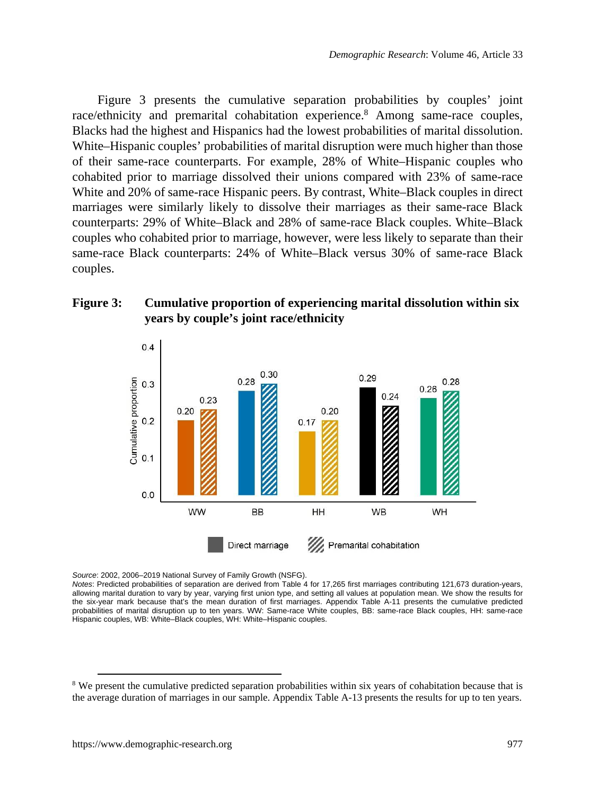Figure 3 presents the cumulative separation probabilities by couples' joint race/ethnicity and premarital cohabitation experience.<sup>[8](#page-22-0)</sup> Among same-race couples, Blacks had the highest and Hispanics had the lowest probabilities of marital dissolution. White–Hispanic couples' probabilities of marital disruption were much higher than those of their same-race counterparts. For example, 28% of White–Hispanic couples who cohabited prior to marriage dissolved their unions compared with 23% of same-race White and 20% of same-race Hispanic peers. By contrast, White–Black couples in direct marriages were similarly likely to dissolve their marriages as their same-race Black counterparts: 29% of White–Black and 28% of same-race Black couples. White–Black couples who cohabited prior to marriage, however, were less likely to separate than their same-race Black counterparts: 24% of White–Black versus 30% of same-race Black couples.

### **Figure 3: Cumulative proportion of experiencing marital dissolution within six years by couple's joint race/ethnicity**



*Source*: 2002, 2006–2019 National Survey of Family Growth (NSFG).

*Notes*: Predicted probabilities of separation are derived from Table 4 for 17,265 first marriages contributing 121,673 duration-years, allowing marital duration to vary by year, varying first union type, and setting all values at population mean. We show the results for the six-year mark because that's the mean duration of first marriages. Appendix Table A-11 presents the cumulative predicted probabilities of marital disruption up to ten years. WW: Same-race White couples, BB: same-race Black couples, HH: same-race Hispanic couples, WB: White–Black couples, WH: White–Hispanic couples.

<span id="page-22-0"></span><sup>&</sup>lt;sup>8</sup> We present the cumulative predicted separation probabilities within six years of cohabitation because that is the average duration of marriages in our sample. Appendix Table A-13 presents the results for up to ten years.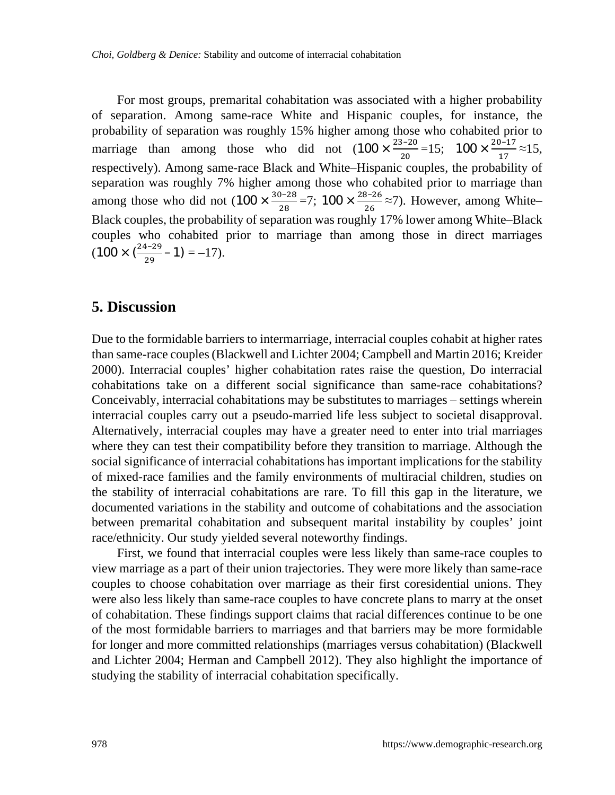*Choi, Goldberg & Denice:* Stability and outcome of interracial cohabitation

For most groups, premarital cohabitation was associated with a higher probability of separation. Among same-race White and Hispanic couples, for instance, the probability of separation was roughly 15% higher among those who cohabited prior to marriage than among those who did not  $(100 \times \frac{23-20}{20} = 15; 100 \times \frac{20-17}{17} \approx 15,$ respectively). Among same-race Black and White–Hispanic couples, the probability of separation was roughly 7% higher among those who cohabited prior to marriage than among those who did not  $(100 \times \frac{30-28}{28} = 7; 100 \times \frac{28-26}{26} \approx 7)$ . However, among White-Black couples, the probability of separation was roughly 17% lower among White–Black couples who cohabited prior to marriage than among those in direct marriages  $(100 \times \left( \frac{24-29}{29} - 1 \right) = -17).$ 

## **5. Discussion**

Due to the formidable barriers to intermarriage, interracial couples cohabit at higher rates than same-race couples (Blackwell and Lichter 2004; Campbell and Martin 2016; Kreider 2000). Interracial couples' higher cohabitation rates raise the question, Do interracial cohabitations take on a different social significance than same-race cohabitations? Conceivably, interracial cohabitations may be substitutes to marriages – settings wherein interracial couples carry out a pseudo-married life less subject to societal disapproval. Alternatively, interracial couples may have a greater need to enter into trial marriages where they can test their compatibility before they transition to marriage. Although the social significance of interracial cohabitations has important implications for the stability of mixed-race families and the family environments of multiracial children, studies on the stability of interracial cohabitations are rare. To fill this gap in the literature, we documented variations in the stability and outcome of cohabitations and the association between premarital cohabitation and subsequent marital instability by couples' joint race/ethnicity. Our study yielded several noteworthy findings.

First, we found that interracial couples were less likely than same-race couples to view marriage as a part of their union trajectories. They were more likely than same-race couples to choose cohabitation over marriage as their first coresidential unions. They were also less likely than same-race couples to have concrete plans to marry at the onset of cohabitation. These findings support claims that racial differences continue to be one of the most formidable barriers to marriages and that barriers may be more formidable for longer and more committed relationships (marriages versus cohabitation) (Blackwell and Lichter 2004; Herman and Campbell 2012). They also highlight the importance of studying the stability of interracial cohabitation specifically.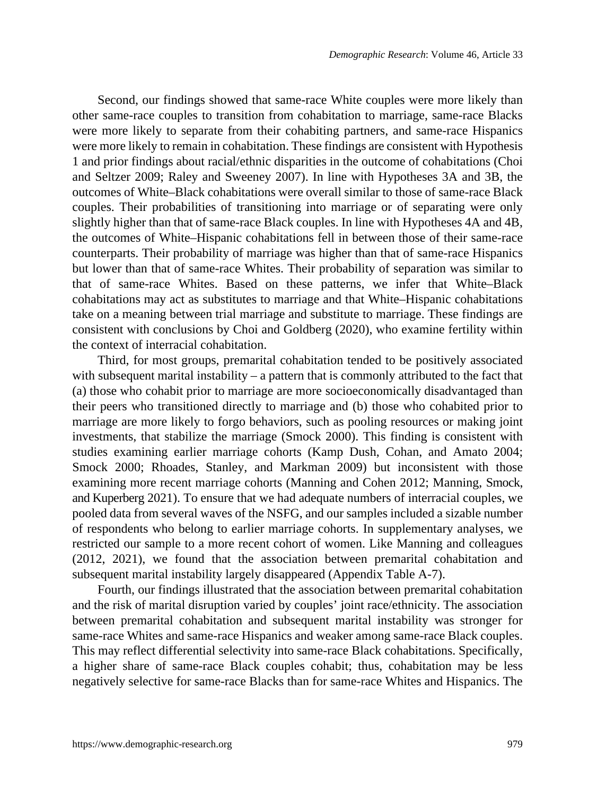Second, our findings showed that same-race White couples were more likely than other same-race couples to transition from cohabitation to marriage, same-race Blacks were more likely to separate from their cohabiting partners, and same-race Hispanics were more likely to remain in cohabitation. These findings are consistent with Hypothesis 1 and prior findings about racial/ethnic disparities in the outcome of cohabitations (Choi and Seltzer 2009; Raley and Sweeney 2007). In line with Hypotheses 3A and 3B, the outcomes of White–Black cohabitations were overall similar to those of same-race Black couples. Their probabilities of transitioning into marriage or of separating were only slightly higher than that of same-race Black couples. In line with Hypotheses 4A and 4B, the outcomes of White–Hispanic cohabitations fell in between those of their same-race counterparts. Their probability of marriage was higher than that of same-race Hispanics but lower than that of same-race Whites. Their probability of separation was similar to that of same-race Whites. Based on these patterns, we infer that White–Black cohabitations may act as substitutes to marriage and that White–Hispanic cohabitations take on a meaning between trial marriage and substitute to marriage. These findings are consistent with conclusions by Choi and Goldberg (2020), who examine fertility within the context of interracial cohabitation.

Third, for most groups, premarital cohabitation tended to be positively associated with subsequent marital instability – a pattern that is commonly attributed to the fact that (a) those who cohabit prior to marriage are more socioeconomically disadvantaged than their peers who transitioned directly to marriage and (b) those who cohabited prior to marriage are more likely to forgo behaviors, such as pooling resources or making joint investments, that stabilize the marriage (Smock 2000). This finding is consistent with studies examining earlier marriage cohorts (Kamp Dush, Cohan, and Amato 2004; Smock 2000; Rhoades, Stanley, and Markman 2009) but inconsistent with those examining more recent marriage cohorts (Manning and Cohen 2012; Manning, Smock, and Kuperberg 2021). To ensure that we had adequate numbers of interracial couples, we pooled data from several waves of the NSFG, and our samples included a sizable number of respondents who belong to earlier marriage cohorts. In supplementary analyses, we restricted our sample to a more recent cohort of women. Like Manning and colleagues (2012, 2021), we found that the association between premarital cohabitation and subsequent marital instability largely disappeared (Appendix Table A-7).

Fourth, our findings illustrated that the association between premarital cohabitation and the risk of marital disruption varied by couples' joint race/ethnicity. The association between premarital cohabitation and subsequent marital instability was stronger for same-race Whites and same-race Hispanics and weaker among same-race Black couples. This may reflect differential selectivity into same-race Black cohabitations. Specifically, a higher share of same-race Black couples cohabit; thus, cohabitation may be less negatively selective for same-race Blacks than for same-race Whites and Hispanics. The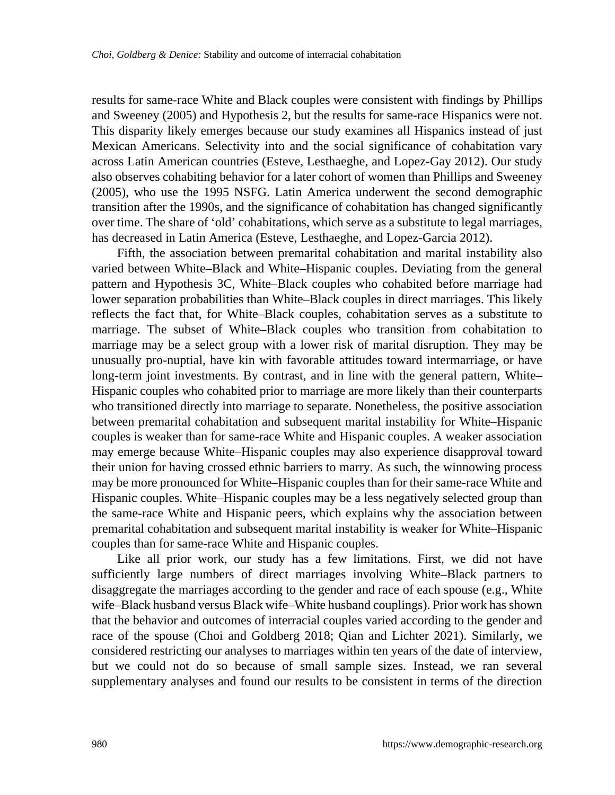results for same-race White and Black couples were consistent with findings by Phillips and Sweeney (2005) and Hypothesis 2, but the results for same-race Hispanics were not. This disparity likely emerges because our study examines all Hispanics instead of just Mexican Americans. Selectivity into and the social significance of cohabitation vary across Latin American countries (Esteve, Lesthaeghe, and Lopez-Gay 2012). Our study also observes cohabiting behavior for a later cohort of women than Phillips and Sweeney (2005), who use the 1995 NSFG. Latin America underwent the second demographic transition after the 1990s, and the significance of cohabitation has changed significantly over time. The share of 'old' cohabitations, which serve as a substitute to legal marriages, has decreased in Latin America (Esteve, Lesthaeghe, and Lopez-Garcia 2012).

Fifth, the association between premarital cohabitation and marital instability also varied between White–Black and White–Hispanic couples. Deviating from the general pattern and Hypothesis 3C, White–Black couples who cohabited before marriage had lower separation probabilities than White–Black couples in direct marriages. This likely reflects the fact that, for White–Black couples, cohabitation serves as a substitute to marriage. The subset of White–Black couples who transition from cohabitation to marriage may be a select group with a lower risk of marital disruption. They may be unusually pro-nuptial, have kin with favorable attitudes toward intermarriage, or have long-term joint investments. By contrast, and in line with the general pattern, White– Hispanic couples who cohabited prior to marriage are more likely than their counterparts who transitioned directly into marriage to separate. Nonetheless, the positive association between premarital cohabitation and subsequent marital instability for White–Hispanic couples is weaker than for same-race White and Hispanic couples. A weaker association may emerge because White–Hispanic couples may also experience disapproval toward their union for having crossed ethnic barriers to marry. As such, the winnowing process may be more pronounced for White–Hispanic couples than for their same-race White and Hispanic couples. White–Hispanic couples may be a less negatively selected group than the same-race White and Hispanic peers, which explains why the association between premarital cohabitation and subsequent marital instability is weaker for White–Hispanic couples than for same-race White and Hispanic couples.

Like all prior work, our study has a few limitations. First, we did not have sufficiently large numbers of direct marriages involving White–Black partners to disaggregate the marriages according to the gender and race of each spouse (e.g., White wife–Black husband versus Black wife–White husband couplings). Prior work has shown that the behavior and outcomes of interracial couples varied according to the gender and race of the spouse (Choi and Goldberg 2018; Qian and Lichter 2021). Similarly, we considered restricting our analyses to marriages within ten years of the date of interview, but we could not do so because of small sample sizes. Instead, we ran several supplementary analyses and found our results to be consistent in terms of the direction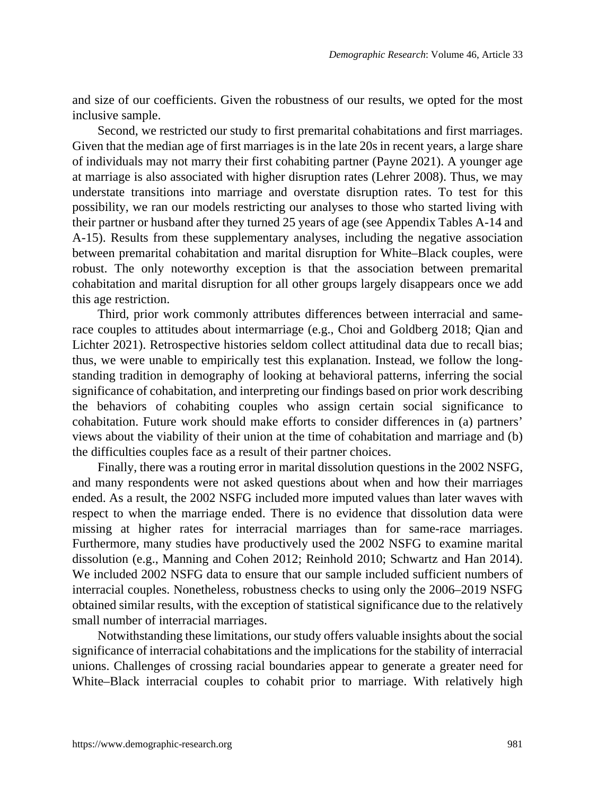and size of our coefficients. Given the robustness of our results, we opted for the most inclusive sample.

Second, we restricted our study to first premarital cohabitations and first marriages. Given that the median age of first marriages is in the late 20s in recent years, a large share of individuals may not marry their first cohabiting partner (Payne 2021). A younger age at marriage is also associated with higher disruption rates (Lehrer 2008). Thus, we may understate transitions into marriage and overstate disruption rates. To test for this possibility, we ran our models restricting our analyses to those who started living with their partner or husband after they turned 25 years of age (see Appendix Tables A-14 and A-15). Results from these supplementary analyses, including the negative association between premarital cohabitation and marital disruption for White–Black couples, were robust. The only noteworthy exception is that the association between premarital cohabitation and marital disruption for all other groups largely disappears once we add this age restriction.

Third, prior work commonly attributes differences between interracial and samerace couples to attitudes about intermarriage (e.g., Choi and Goldberg 2018; Qian and Lichter 2021). Retrospective histories seldom collect attitudinal data due to recall bias; thus, we were unable to empirically test this explanation. Instead, we follow the longstanding tradition in demography of looking at behavioral patterns, inferring the social significance of cohabitation, and interpreting our findings based on prior work describing the behaviors of cohabiting couples who assign certain social significance to cohabitation. Future work should make efforts to consider differences in (a) partners' views about the viability of their union at the time of cohabitation and marriage and (b) the difficulties couples face as a result of their partner choices.

Finally, there was a routing error in marital dissolution questions in the 2002 NSFG, and many respondents were not asked questions about when and how their marriages ended. As a result, the 2002 NSFG included more imputed values than later waves with respect to when the marriage ended. There is no evidence that dissolution data were missing at higher rates for interracial marriages than for same-race marriages. Furthermore, many studies have productively used the 2002 NSFG to examine marital dissolution (e.g., Manning and Cohen 2012; Reinhold 2010; Schwartz and Han 2014). We included 2002 NSFG data to ensure that our sample included sufficient numbers of interracial couples. Nonetheless, robustness checks to using only the 2006–2019 NSFG obtained similar results, with the exception of statistical significance due to the relatively small number of interracial marriages.

Notwithstanding these limitations, our study offers valuable insights about the social significance of interracial cohabitations and the implications for the stability of interracial unions. Challenges of crossing racial boundaries appear to generate a greater need for White–Black interracial couples to cohabit prior to marriage. With relatively high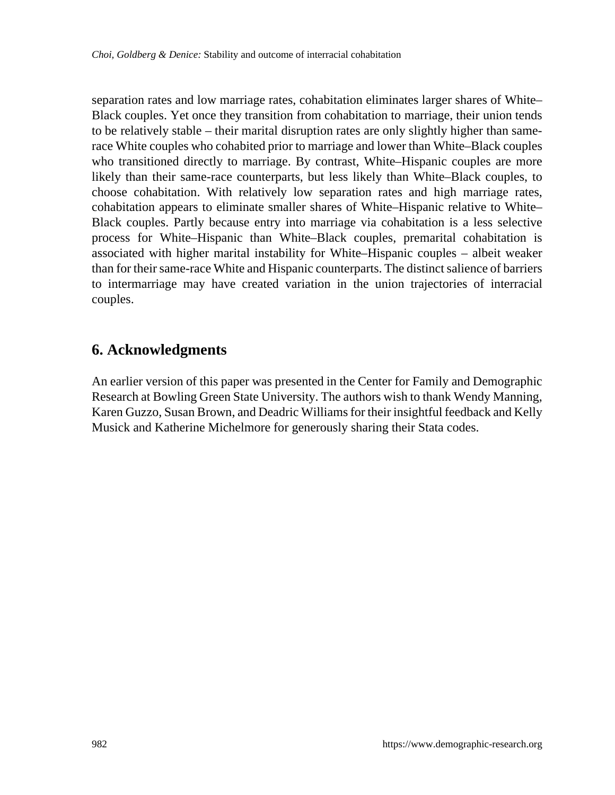separation rates and low marriage rates, cohabitation eliminates larger shares of White– Black couples. Yet once they transition from cohabitation to marriage, their union tends to be relatively stable – their marital disruption rates are only slightly higher than samerace White couples who cohabited prior to marriage and lower than White–Black couples who transitioned directly to marriage. By contrast, White–Hispanic couples are more likely than their same-race counterparts, but less likely than White–Black couples, to choose cohabitation. With relatively low separation rates and high marriage rates, cohabitation appears to eliminate smaller shares of White–Hispanic relative to White– Black couples. Partly because entry into marriage via cohabitation is a less selective process for White–Hispanic than White–Black couples, premarital cohabitation is associated with higher marital instability for White–Hispanic couples – albeit weaker than for their same-race White and Hispanic counterparts. The distinct salience of barriers to intermarriage may have created variation in the union trajectories of interracial couples.

## **6. Acknowledgments**

An earlier version of this paper was presented in the Center for Family and Demographic Research at Bowling Green State University. The authors wish to thank Wendy Manning, Karen Guzzo, Susan Brown, and Deadric Williams for their insightful feedback and Kelly Musick and Katherine Michelmore for generously sharing their Stata codes.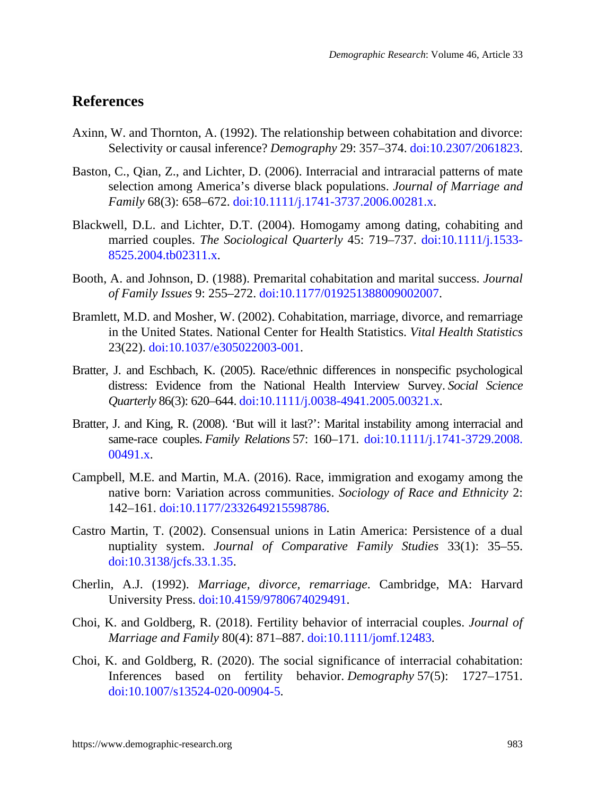## **References**

- Axinn, W. and Thornton, A. (1992). The relationship between cohabitation and divorce: Selectivity or causal inference? *Demography* 29: 357–374. [doi:10.2307/2061823.](https://doi.org/10.2307/2061823)
- Baston, C., Qian, Z., and Lichter, D. (2006). Interracial and intraracial patterns of mate selection among America's diverse black populations. *Journal of Marriage and Family* 68(3): 658–672. [doi:10.1111/j.1741-3737.2006.00281.x.](https://doi.org/10.1111/j.1741-3737.2006.00281.x)
- Blackwell, D.L. and Lichter, D.T. (2004). Homogamy among dating, cohabiting and married couples. *The Sociological Quarterly* 45: 719–737. [doi:10.1111/j.1533-](https://doi.org/10.1111/j.1533-8525.2004.tb02311.x) [8525.2004.tb02311.x.](https://doi.org/10.1111/j.1533-8525.2004.tb02311.x)
- Booth, A. and Johnson, D. (1988). Premarital cohabitation and marital success. *Journal of Family Issues* 9: 255–272. [doi:10.1177/019251388009002007](https://doi.org/10.1177/019251388009002007).
- Bramlett, M.D. and Mosher, W. (2002). Cohabitation, marriage, divorce, and remarriage in the United States. National Center for Health Statistics. *Vital Health Statistics* 23(22). [doi:10.1037/e305022003-001.](https://doi.org/10.1037/e305022003-001)
- Bratter, J. and Eschbach, K. (2005). Race/ethnic differences in nonspecific psychological distress: Evidence from the National Health Interview Survey. *Social Science Quarterly* 86(3): 620–644. [doi:10.1111/j.0038-4941.2005.00321.x.](https://doi.org/10.1111/j.0038-4941.2005.00321.x)
- Bratter, J. and King, R. (2008). 'But will it last?': Marital instability among interracial and same-race couples. *Family Relations* 57: 160–171. [doi:10.1111/j.1741-3729.2008.](https://doi.org/10.1111/j.1741-3729.2008.00491.x) [00491.x.](https://doi.org/10.1111/j.1741-3729.2008.00491.x)
- Campbell, M.E. and Martin, M.A. (2016). Race, immigration and exogamy among the native born: Variation across communities. *Sociology of Race and Ethnicity* 2: 142–161. [doi:10.1177/2332649215598786.](https://doi.org/10.1177/2332649215598786)
- Castro Martin, T. (2002). Consensual unions in Latin America: Persistence of a dual nuptiality system. *Journal of Comparative Family Studies* 33(1): 35–55. [doi:10.3138/jcfs.33.1.35.](https://doi.org/10.3138/jcfs.33.1.35)
- Cherlin, A.J. (1992). *Marriage, divorce, remarriage*. Cambridge, MA: Harvard University Press. [doi:10.4159/9780674029491.](https://doi.org/10.4159/9780674029491)
- Choi, K. and Goldberg, R. (2018). Fertility behavior of interracial couples. *Journal of Marriage and Family* 80(4): 871–887. [doi:10.1111/jomf.12483.](https://doi.org/10.1111/jomf.12483)
- Choi, K. and Goldberg, R. (2020). The social significance of interracial cohabitation: Inferences based on fertility behavior. *Demography* 57(5): 1727–1751. [doi:10.1007/s13524-020-00904-5.](https://doi.org/10.1007/s13524-020-00904-5)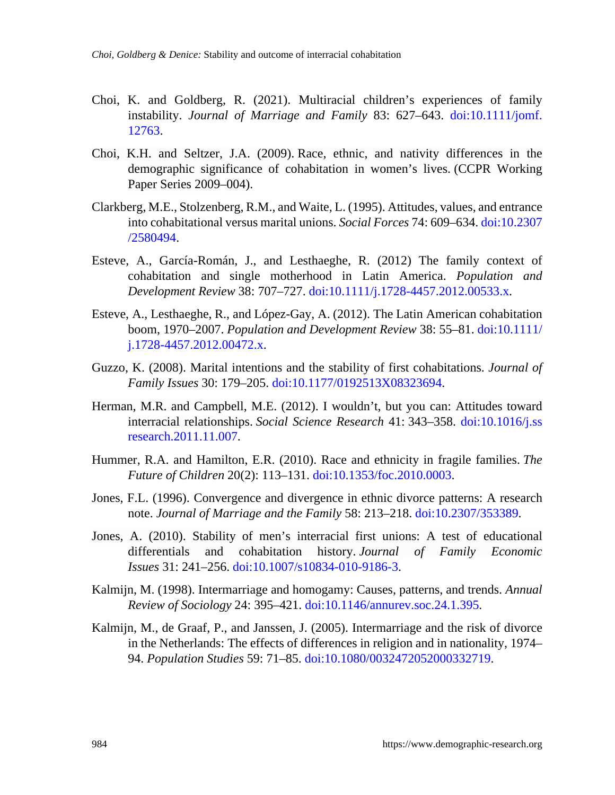- Choi, K. and Goldberg, R. (2021). Multiracial children's experiences of family instability. *Journal of Marriage and Family* 83: 627–643. [doi:10.1111/jomf.](https://doi.org/10.1111/jomf.12763) [12763](https://doi.org/10.1111/jomf.12763).
- Choi, K.H. and Seltzer, J.A. (2009). Race, ethnic, and nativity differences in the demographic significance of cohabitation in women's lives. (CCPR Working Paper Series 2009–004).
- Clarkberg, M.E., Stolzenberg, R.M., and Waite, L. (1995). Attitudes, values, and entrance into cohabitational versus marital unions. *Social Forces* 74: 609–634. [doi:10.2307](https://doi.org/10.2307/2580494) [/2580494](https://doi.org/10.2307/2580494).
- Esteve, A., García-Román, J., and Lesthaeghe, R. (2012) The family context of cohabitation and single motherhood in Latin America. *Population and Development Review* 38: 707–727. [doi:10.1111/j.1728-4457.2012.00533.x](https://doi.org/10.1111/j.1728-4457.2012.00533.x).
- Esteve, A., Lesthaeghe, R., and López-Gay, A. (2012). The Latin American cohabitation boom, 1970–2007. *Population and Development Review* 38: 55–81. [doi:10.1111/](https://doi.org/10.1111/j.1728-4457.2012.00472.x) [j.1728-4457.2012.00472.x](https://doi.org/10.1111/j.1728-4457.2012.00472.x).
- Guzzo, K. (2008). Marital intentions and the stability of first cohabitations. *Journal of Family Issues* 30: 179–205. [doi:10.1177/0192513X08323694](https://doi.org/10.1177/0192513X08323694).
- Herman, M.R. and Campbell, M.E. (2012). I wouldn't, but you can: Attitudes toward interracial relationships. *Social Science Research* 41: 343–358. [doi:10.1016/j.ss](https://doi.org/10.1016/j.ssresearch.2011.11.007) [research.2011.11.007](https://doi.org/10.1016/j.ssresearch.2011.11.007).
- Hummer, R.A. and Hamilton, E.R. (2010). Race and ethnicity in fragile families. *The Future of Children* 20(2): 113–131. [doi:10.1353/foc.2010.0003](https://doi.org/10.1353/foc.2010.0003).
- Jones, F.L. (1996). Convergence and divergence in ethnic divorce patterns: A research note. *Journal of Marriage and the Family* 58: 213–218. [doi:10.2307/353389](https://doi.org/10.2307/353389).
- Jones, A. (2010). Stability of men's interracial first unions: A test of educational differentials and cohabitation history. *Journal of Family Economic Issues* 31: 241–256. [doi:10.1007/s10834-010-9186-3](https://doi.org/10.1007/s10834-010-9186-3).
- Kalmijn, M. (1998). Intermarriage and homogamy: Causes, patterns, and trends. *Annual Review of Sociology* 24: 395–421. [doi:10.1146/annurev.soc.24.1.395.](https://doi.org/10.1146/annurev.soc.24.1.395)
- Kalmijn, M., de Graaf, P., and Janssen, J. (2005). Intermarriage and the risk of divorce in the Netherlands: The effects of differences in religion and in nationality, 1974– 94. *Population Studies* 59: 71–85. [doi:10.1080/0032472052000332719.](https://doi.org/10.1080/0032472052000332719)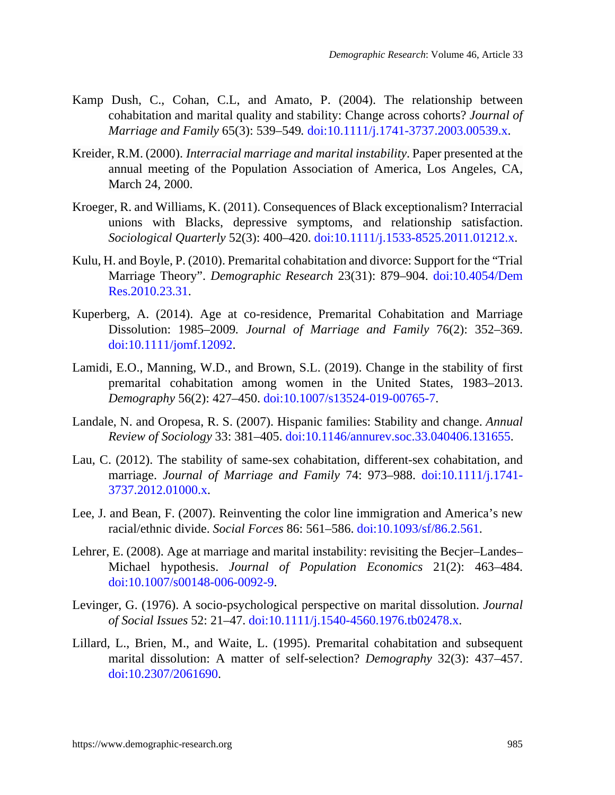- Kamp Dush, C., Cohan, C.L, and Amato, P. (2004). The relationship between cohabitation and marital quality and stability: Change across cohorts? *Journal of Marriage and Family* 65(3): 539–549*.* [doi:10.1111/j.1741-3737.2003.00539.x](https://doi.org/10.1111/j.1741-3737.2003.00539.x).
- Kreider, R.M. (2000). *Interracial marriage and marital instability*. Paper presented at the annual meeting of the Population Association of America, Los Angeles, CA, March 24, 2000.
- Kroeger, R. and Williams, K. (2011). Consequences of Black exceptionalism? Interracial unions with Blacks, depressive symptoms, and relationship satisfaction. *Sociological Quarterly* 52(3): 400–420. [doi:10.1111/j.1533-8525.2011.01212.x.](https://doi.org/10.1111/j.1533-8525.2011.01212.x)
- Kulu, H. and Boyle, P. (2010). Premarital cohabitation and divorce: Support for the "Trial Marriage Theory". *Demographic Research* 23(31): 879–904. [doi:10.4054/Dem](https://doi.org/10.4054/DemRes.2010.23.31) [Res.2010.23.31.](https://doi.org/10.4054/DemRes.2010.23.31)
- Kuperberg, A. (2014). Age at co-residence, Premarital Cohabitation and Marriage Dissolution: 1985–2009*. Journal of Marriage and Family* 76(2): 352–369. [doi:10.1111/jomf.12092](https://doi.org/10.1111/jomf.12092).
- Lamidi, E.O., Manning, W.D., and Brown, S.L. (2019). Change in the stability of first premarital cohabitation among women in the United States, 1983–2013. *Demography* 56(2): 427–450. [doi:10.1007/s13524-019-00765-7.](https://doi.org/10.1007/s13524-019-00765-7)
- Landale, N. and Oropesa, R. S. (2007). Hispanic families: Stability and change. *Annual Review of Sociology* 33: 381–405. [doi:10.1146/annurev.soc.33.040406.131655](https://doi.org/10.1146/annurev.soc.33.040406.131655).
- Lau, C. (2012). The stability of same-sex cohabitation, different-sex cohabitation, and marriage. *Journal of Marriage and Family* 74: 973–988. [doi:10.1111/j.1741-](https://doi.org/10.1111/j.1741-3737.2012.01000.x) [3737.2012.01000.x.](https://doi.org/10.1111/j.1741-3737.2012.01000.x)
- Lee, J. and Bean, F. (2007). Reinventing the color line immigration and America's new racial/ethnic divide. *Social Forces* 86: 561–586. [doi:10.1093/sf/86.2.561.](https://doi.org/10.1093/sf/86.2.561)
- Lehrer, E. (2008). Age at marriage and marital instability: revisiting the Becjer–Landes– Michael hypothesis. *Journal of Population Economics* 21(2): 463–484. [doi:10.1007/s00148-006-0092-9.](https://doi.org/10.1007/s00148-006-0092-9)
- Levinger, G. (1976). A socio-psychological perspective on marital dissolution. *Journal of Social Issues* 52: 21–47. [doi:10.1111/j.1540-4560.1976.tb02478.x.](https://doi.org/10.1111/j.1540-4560.1976.tb02478.x)
- Lillard, L., Brien, M., and Waite, L. (1995). Premarital cohabitation and subsequent marital dissolution: A matter of self-selection? *Demography* 32(3): 437–457. [doi:10.2307/2061690.](https://doi.org/10.2307/2061690)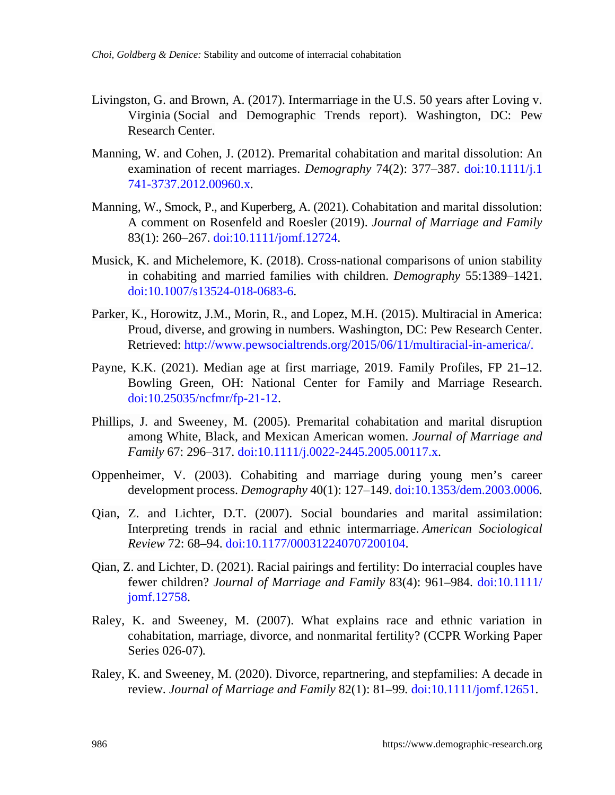- Livingston, G. and Brown, A. (2017). Intermarriage in the U.S. 50 years after Loving v. Virginia (Social and Demographic Trends report). Washington, DC: Pew Research Center.
- Manning, W. and Cohen, J. (2012). Premarital cohabitation and marital dissolution: An examination of recent marriages. *Demography* 74(2): 377–387. [doi:10.1111/j.1](https://doi.org/10.1111/j.1741-3737.2012.00960.x) [741-3737.2012.00960.x](https://doi.org/10.1111/j.1741-3737.2012.00960.x).
- Manning, W., Smock, P., and Kuperberg, A. (2021). Cohabitation and marital dissolution: A comment on Rosenfeld and Roesler (2019). *Journal of Marriage and Family* 83(1): 260–267. [doi:10.1111/jomf.12724.](https://doi.org/10.1111/jomf.12724)
- Musick, K. and Michelemore, K. (2018). Cross-national comparisons of union stability in cohabiting and married families with children. *Demography* 55:1389–1421. [doi:10.1007/s13524-018-0683-6](https://doi.org/10.1007/s13524-018-0683-6).
- Parker, K., Horowitz, J.M., Morin, R., and Lopez, M.H. (2015). Multiracial in America: Proud, diverse, and growing in numbers. Washington, DC: Pew Research Center. Retrieved: <http://www.pewsocialtrends.org/2015/06/11/multiracial-in-america/>.
- Payne, K.K. (2021). Median age at first marriage, 2019. Family Profiles, FP 21–12. Bowling Green, OH: National Center for Family and Marriage Research. [doi:10.25035/ncfmr/fp-21-12.](https://doi.org/10.25035/ncfmr/fp-21-12)
- Phillips, J. and Sweeney, M. (2005). Premarital cohabitation and marital disruption among White, Black, and Mexican American women. *Journal of Marriage and Family* 67: 296–317. [doi:10.1111/j.0022-2445.2005.00117.x.](https://doi.org/10.1111/j.0022-2445.2005.00117.x)
- Oppenheimer, V. (2003). Cohabiting and marriage during young men's career development process. *Demography* 40(1): 127–149. [doi:10.1353/dem.2003.0006.](https://doi.org/10.1353/dem.2003.0006)
- Qian, Z. and Lichter, D.T. (2007). Social boundaries and marital assimilation: Interpreting trends in racial and ethnic intermarriage. *American Sociological Review* 72: 68–94. [doi:10.1177/000312240707200104.](https://doi.org/10.1177/000312240707200104)
- Qian, Z. and Lichter, D. (2021). Racial pairings and fertility: Do interracial couples have fewer children? *Journal of Marriage and Family* 83(4): 961–984. [doi:10.1111/](https://doi.org/10.1111/jomf.12758) [jomf.12758.](https://doi.org/10.1111/jomf.12758)
- Raley, K. and Sweeney, M. (2007). What explains race and ethnic variation in cohabitation, marriage, divorce, and nonmarital fertility? (CCPR Working Paper Series 026-07)*.*
- Raley, K. and Sweeney, M. (2020). Divorce, repartnering, and stepfamilies: A decade in review. *Journal of Marriage and Family* 82(1): 81–99*.* [doi:10.1111/jomf.12651.](https://doi.org/10.1111/jomf.12651)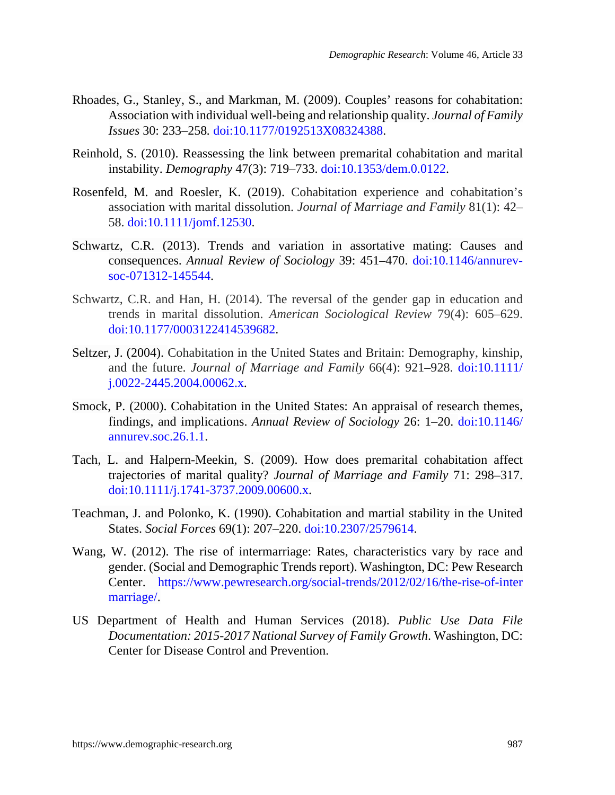- Rhoades, G., Stanley, S., and Markman, M. (2009). Couples' reasons for cohabitation: Association with individual well-being and relationship quality. *Journal of Family Issues* 30: 233–258*.* [doi:10.1177/0192513X08324388.](https://doi.org/10.1177/0192513X08324388)
- Reinhold, S. (2010). Reassessing the link between premarital cohabitation and marital instability. *Demography* 47(3): 719–733. [doi:10.1353/dem.0.0122.](https://doi.org/10.1353/dem.0.0122)
- Rosenfeld, M. and Roesler, K. (2019). Cohabitation experience and cohabitation's association with marital dissolution. *Journal of Marriage and Family* 81(1): 42– 58. [doi:10.1111/jomf.12530](https://doi.org/10.1111/jomf.12530).
- Schwartz, C.R. (2013). Trends and variation in assortative mating: Causes and consequences. *Annual Review of Sociology* 39: 451–470. [doi:10.1146/annurev](https://doi.org/10.1146/annurev-soc-071312-145544)[soc-071312-145544](https://doi.org/10.1146/annurev-soc-071312-145544).
- Schwartz, C.R. and Han, H. (2014). The reversal of the gender gap in education and trends in marital dissolution. *American Sociological Review* 79(4): 605–629. [doi:10.1177/0003122414539682.](https://doi.org/10.1177/0003122414539682)
- Seltzer, J. (2004). Cohabitation in the United States and Britain: Demography, kinship, and the future. *Journal of Marriage and Family* 66(4): 921–928. [doi:10.1111/](https://doi.org/10.1111/j.0022-2445.2004.00062.x) [j.0022-2445.2004.00062.x](https://doi.org/10.1111/j.0022-2445.2004.00062.x).
- Smock, P. (2000). Cohabitation in the United States: An appraisal of research themes, findings, and implications. *Annual Review of Sociology* 26: 1–20. [doi:10.1146/](https://doi.org/10.1146/annurev.soc.26.1.1) [annurev.soc.26.1.1.](https://doi.org/10.1146/annurev.soc.26.1.1)
- Tach, L. and Halpern-Meekin, S. (2009). How does premarital cohabitation affect trajectories of marital quality? *Journal of Marriage and Family* 71: 298–317. [doi:10.1111/j.1741-3737.2009.00600.x](https://doi.org/10.1111/j.1741-3737.2009.00600.x).
- Teachman, J. and Polonko, K. (1990). Cohabitation and martial stability in the United States. *Social Forces* 69(1): 207–220. [doi:10.2307/2579614.](https://doi.org/10.2307/2579614)
- Wang, W. (2012). The rise of intermarriage: Rates, characteristics vary by race and gender. (Social and Demographic Trends report). Washington, DC: Pew Research Center. [https://www.pewresearch.org/social-trends/2012/02/16/the-rise-of-inter](https://www.pewresearch.org/social-trends/2012/02/16/the-rise-of-intermarriage/) [marriage/.](https://www.pewresearch.org/social-trends/2012/02/16/the-rise-of-intermarriage/)
- US Department of Health and Human Services (2018). *Public Use Data File Documentation: 2015-2017 National Survey of Family Growth*. Washington, DC: Center for Disease Control and Prevention.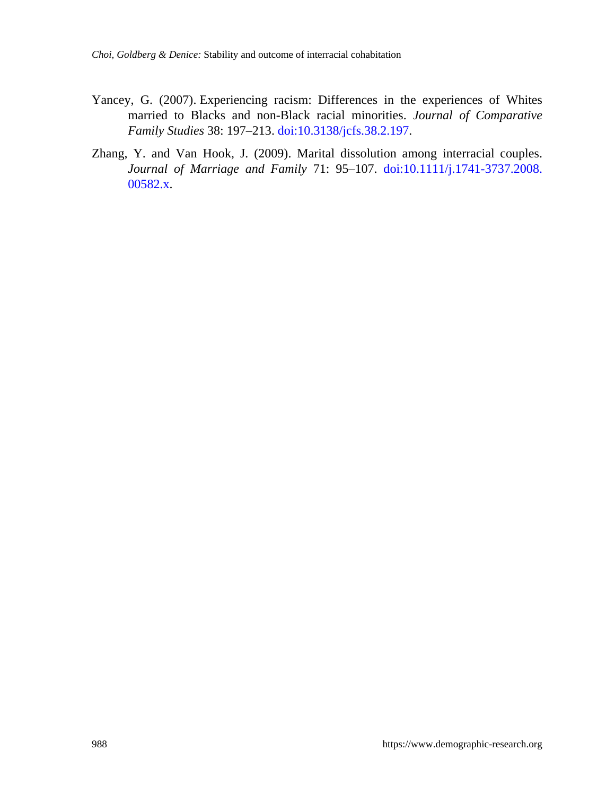- Yancey, G. (2007). Experiencing racism: Differences in the experiences of Whites married to Blacks and non-Black racial minorities. *Journal of Comparative Family Studies* 38: 197–213. [doi:10.3138/jcfs.38.2.197](https://doi.org/10.3138/jcfs.38.2.197).
- Zhang, Y. and Van Hook, J. (2009). Marital dissolution among interracial couples. *Journal of Marriage and Family* 71: 95–107. [doi:10.1111/j.1741-3737.2008.](https://doi.org/10.1111/j.1741-3737.2008.00582.x) [00582.x.](https://doi.org/10.1111/j.1741-3737.2008.00582.x)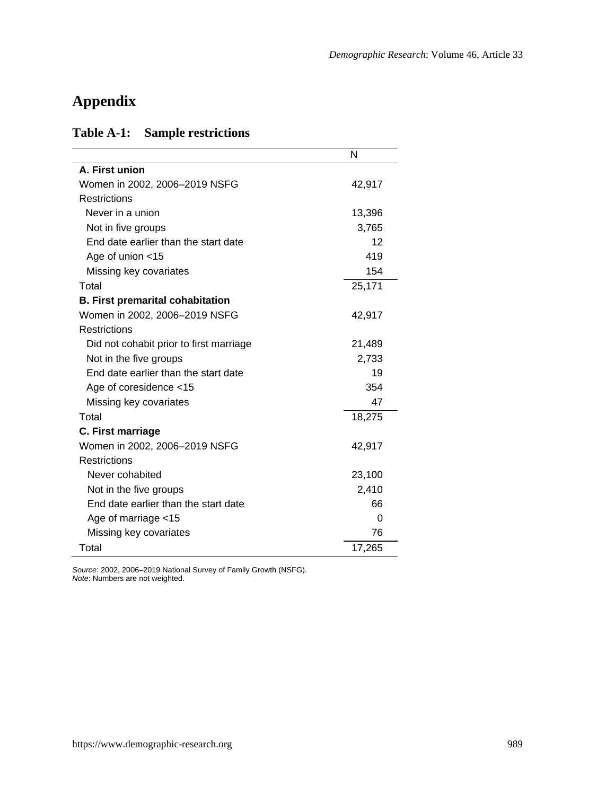# **Appendix**

## **Table A-1: Sample restrictions**

|                                         | N        |
|-----------------------------------------|----------|
| A. First union                          |          |
| Women in 2002, 2006-2019 NSFG           | 42,917   |
| <b>Restrictions</b>                     |          |
| Never in a union                        | 13,396   |
| Not in five groups                      | 3,765    |
| End date earlier than the start date    | 12       |
| Age of union <15                        | 419      |
| Missing key covariates                  | 154      |
| Total                                   | 25,171   |
| <b>B. First premarital cohabitation</b> |          |
| Women in 2002, 2006-2019 NSFG           | 42,917   |
| <b>Restrictions</b>                     |          |
| Did not cohabit prior to first marriage | 21,489   |
| Not in the five groups                  | 2,733    |
| End date earlier than the start date    | 19       |
| Age of coresidence <15                  | 354      |
| Missing key covariates                  | 47       |
| Total                                   | 18,275   |
| C. First marriage                       |          |
| Women in 2002, 2006-2019 NSFG           | 42,917   |
| <b>Restrictions</b>                     |          |
| Never cohabited                         | 23,100   |
| Not in the five groups                  | 2,410    |
| End date earlier than the start date    | 66       |
| Age of marriage <15                     | $\Omega$ |
| Missing key covariates                  | 76       |
| Total                                   | 17,265   |

*Source*: 2002, 2006–2019 National Survey of Family Growth (NSFG). *Note*: Numbers are not weighted.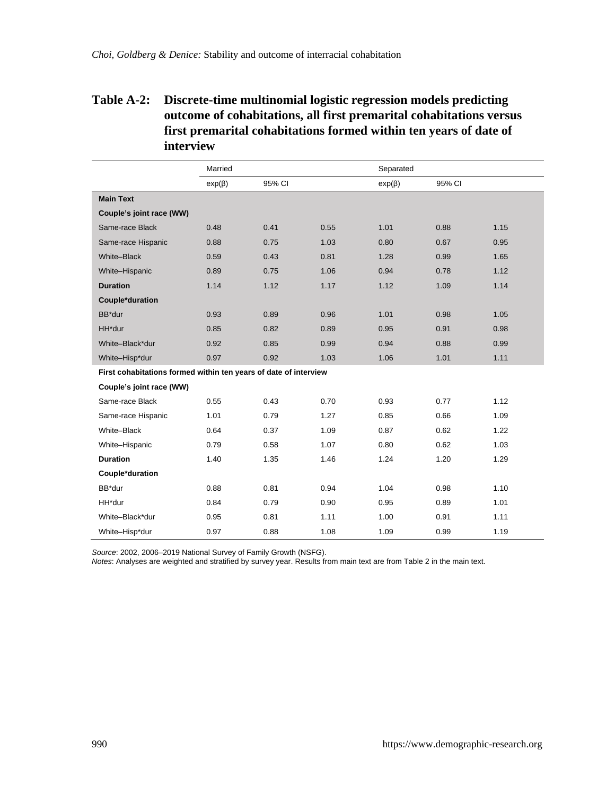## **Table A-2: Discrete-time multinomial logistic regression models predicting outcome of cohabitations, all first premarital cohabitations versus first premarital cohabitations formed within ten years of date of interview**

|                                                                  | Married      |        |      | Separated    |        |      |
|------------------------------------------------------------------|--------------|--------|------|--------------|--------|------|
|                                                                  | $exp(\beta)$ | 95% CI |      | $exp(\beta)$ | 95% CI |      |
| <b>Main Text</b>                                                 |              |        |      |              |        |      |
| Couple's joint race (WW)                                         |              |        |      |              |        |      |
| Same-race Black                                                  | 0.48         | 0.41   | 0.55 | 1.01         | 0.88   | 1.15 |
| Same-race Hispanic                                               | 0.88         | 0.75   | 1.03 | 0.80         | 0.67   | 0.95 |
| White-Black                                                      | 0.59         | 0.43   | 0.81 | 1.28         | 0.99   | 1.65 |
| White-Hispanic                                                   | 0.89         | 0.75   | 1.06 | 0.94         | 0.78   | 1.12 |
| <b>Duration</b>                                                  | 1.14         | 1.12   | 1.17 | 1.12         | 1.09   | 1.14 |
| Couple*duration                                                  |              |        |      |              |        |      |
| BB*dur                                                           | 0.93         | 0.89   | 0.96 | 1.01         | 0.98   | 1.05 |
| HH*dur                                                           | 0.85         | 0.82   | 0.89 | 0.95         | 0.91   | 0.98 |
| White-Black*dur                                                  | 0.92         | 0.85   | 0.99 | 0.94         | 0.88   | 0.99 |
| White-Hisp*dur                                                   | 0.97         | 0.92   | 1.03 | 1.06         | 1.01   | 1.11 |
| First cohabitations formed within ten years of date of interview |              |        |      |              |        |      |
| Couple's joint race (WW)                                         |              |        |      |              |        |      |
| Same-race Black                                                  | 0.55         | 0.43   | 0.70 | 0.93         | 0.77   | 1.12 |
| Same-race Hispanic                                               | 1.01         | 0.79   | 1.27 | 0.85         | 0.66   | 1.09 |
| White-Black                                                      | 0.64         | 0.37   | 1.09 | 0.87         | 0.62   | 1.22 |
| White-Hispanic                                                   | 0.79         | 0.58   | 1.07 | 0.80         | 0.62   | 1.03 |
| <b>Duration</b>                                                  | 1.40         | 1.35   | 1.46 | 1.24         | 1.20   | 1.29 |
| Couple*duration                                                  |              |        |      |              |        |      |
| BB*dur                                                           | 0.88         | 0.81   | 0.94 | 1.04         | 0.98   | 1.10 |
| HH*dur                                                           | 0.84         | 0.79   | 0.90 | 0.95         | 0.89   | 1.01 |
| White-Black*dur                                                  | 0.95         | 0.81   | 1.11 | 1.00         | 0.91   | 1.11 |
| White-Hisp*dur                                                   | 0.97         | 0.88   | 1.08 | 1.09         | 0.99   | 1.19 |

*Source*: 2002, 2006–2019 National Survey of Family Growth (NSFG). *Notes*: Analyses are weighted and stratified by survey year. Results from main text are from Table 2 in the main text.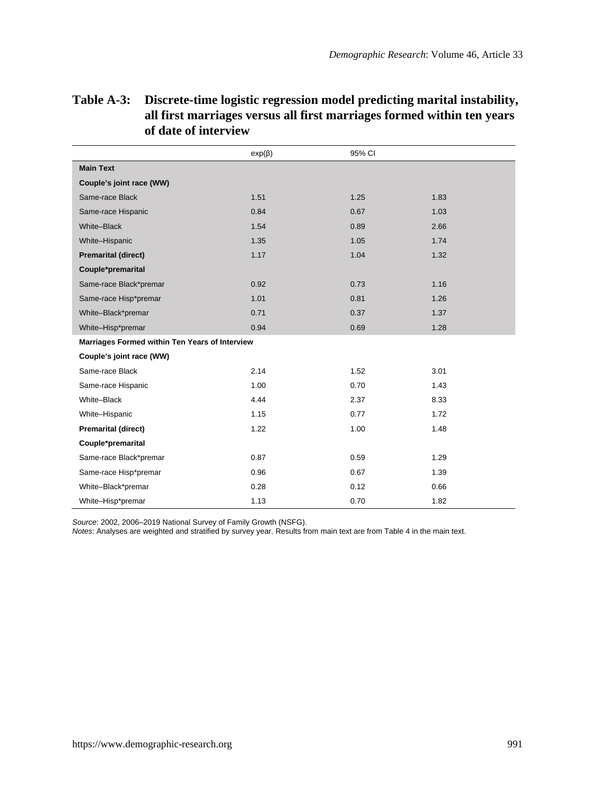|                                                | $exp(\beta)$ | 95% CI |      |
|------------------------------------------------|--------------|--------|------|
| <b>Main Text</b>                               |              |        |      |
| Couple's joint race (WW)                       |              |        |      |
| Same-race Black                                | 1.51         | 1.25   | 1.83 |
| Same-race Hispanic                             | 0.84         | 0.67   | 1.03 |
| White-Black                                    | 1.54         | 0.89   | 2.66 |
| White-Hispanic                                 | 1.35         | 1.05   | 1.74 |
| <b>Premarital (direct)</b>                     | 1.17         | 1.04   | 1.32 |
| Couple*premarital                              |              |        |      |
| Same-race Black*premar                         | 0.92         | 0.73   | 1.16 |
| Same-race Hisp*premar                          | 1.01         | 0.81   | 1.26 |
| White-Black*premar                             | 0.71         | 0.37   | 1.37 |
| White-Hisp*premar                              | 0.94         | 0.69   | 1.28 |
| Marriages Formed within Ten Years of Interview |              |        |      |
| Couple's joint race (WW)                       |              |        |      |
| Same-race Black                                | 2.14         | 1.52   | 3.01 |
| Same-race Hispanic                             | 1.00         | 0.70   | 1.43 |
| White-Black                                    | 4.44         | 2.37   | 8.33 |
| White-Hispanic                                 | 1.15         | 0.77   | 1.72 |
| <b>Premarital (direct)</b>                     | 1.22         | 1.00   | 1.48 |
| Couple*premarital                              |              |        |      |
| Same-race Black*premar                         | 0.87         | 0.59   | 1.29 |
| Same-race Hisp*premar                          | 0.96         | 0.67   | 1.39 |
| White-Black*premar                             | 0.28         | 0.12   | 0.66 |
| White-Hisp*premar                              | 1.13         | 0.70   | 1.82 |

## **Table A-3: Discrete-time logistic regression model predicting marital instability, all first marriages versus all first marriages formed within ten years of date of interview**

*Source*: 2002, 2006–2019 National Survey of Family Growth (NSFG).

*Notes*: Analyses are weighted and stratified by survey year. Results from main text are from Table 4 in the main text.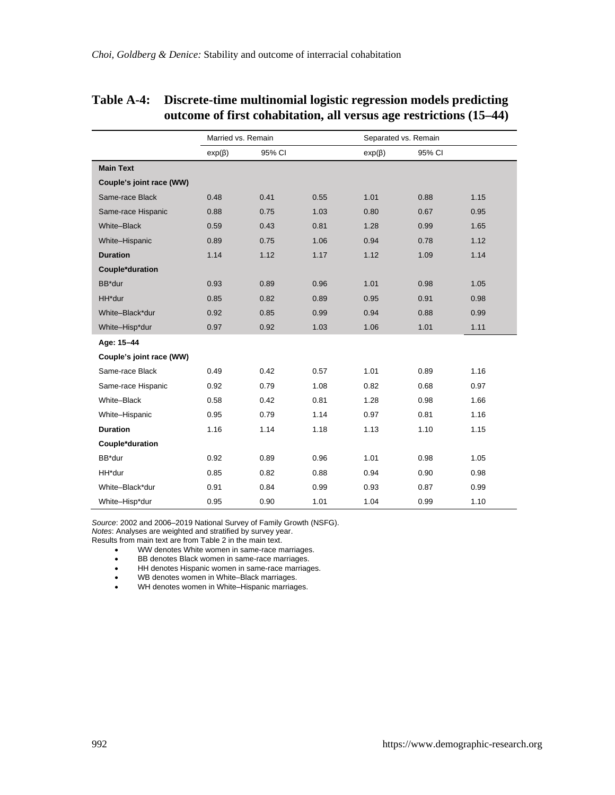l,

| Table A-4: Discrete-time multinomial logistic regression models predicting |
|----------------------------------------------------------------------------|
| outcome of first cohabitation, all versus age restrictions (15–44)         |

l,

|                          | Married vs. Remain |        |      | Separated vs. Remain |        |      |
|--------------------------|--------------------|--------|------|----------------------|--------|------|
|                          | $exp(\beta)$       | 95% CI |      | $exp(\beta)$         | 95% CI |      |
| <b>Main Text</b>         |                    |        |      |                      |        |      |
| Couple's joint race (WW) |                    |        |      |                      |        |      |
| Same-race Black          | 0.48               | 0.41   | 0.55 | 1.01                 | 0.88   | 1.15 |
| Same-race Hispanic       | 0.88               | 0.75   | 1.03 | 0.80                 | 0.67   | 0.95 |
| White-Black              | 0.59               | 0.43   | 0.81 | 1.28                 | 0.99   | 1.65 |
| White-Hispanic           | 0.89               | 0.75   | 1.06 | 0.94                 | 0.78   | 1.12 |
| <b>Duration</b>          | 1.14               | 1.12   | 1.17 | 1.12                 | 1.09   | 1.14 |
| Couple*duration          |                    |        |      |                      |        |      |
| BB*dur                   | 0.93               | 0.89   | 0.96 | 1.01                 | 0.98   | 1.05 |
| HH*dur                   | 0.85               | 0.82   | 0.89 | 0.95                 | 0.91   | 0.98 |
| White-Black*dur          | 0.92               | 0.85   | 0.99 | 0.94                 | 0.88   | 0.99 |
| White-Hisp*dur           | 0.97               | 0.92   | 1.03 | 1.06                 | 1.01   | 1.11 |
| Age: 15-44               |                    |        |      |                      |        |      |
| Couple's joint race (WW) |                    |        |      |                      |        |      |
| Same-race Black          | 0.49               | 0.42   | 0.57 | 1.01                 | 0.89   | 1.16 |
| Same-race Hispanic       | 0.92               | 0.79   | 1.08 | 0.82                 | 0.68   | 0.97 |
| White-Black              | 0.58               | 0.42   | 0.81 | 1.28                 | 0.98   | 1.66 |
| White-Hispanic           | 0.95               | 0.79   | 1.14 | 0.97                 | 0.81   | 1.16 |
| <b>Duration</b>          | 1.16               | 1.14   | 1.18 | 1.13                 | 1.10   | 1.15 |
| Couple*duration          |                    |        |      |                      |        |      |
| BB*dur                   | 0.92               | 0.89   | 0.96 | 1.01                 | 0.98   | 1.05 |
| HH*dur                   | 0.85               | 0.82   | 0.88 | 0.94                 | 0.90   | 0.98 |
| White-Black*dur          | 0.91               | 0.84   | 0.99 | 0.93                 | 0.87   | 0.99 |
| White-Hisp*dur           | 0.95               | 0.90   | 1.01 | 1.04                 | 0.99   | 1.10 |

*Source*: 2002 and 2006–2019 National Survey of Family Growth (NSFG).<br>*Notes:* Analyses are weighted and stratified by survey year.<br>Results from main text are from Table 2 in the main text.

- WW denotes White women in same-race marriages.
- BB denotes Black women in same-race marriages.<br>• HH denotes Hispanic women in same-race marriage
- 
- HH denotes Hispanic women in same-race marriages. WB denotes women in White–Black marriages.
- WH denotes women in White–Hispanic marriages.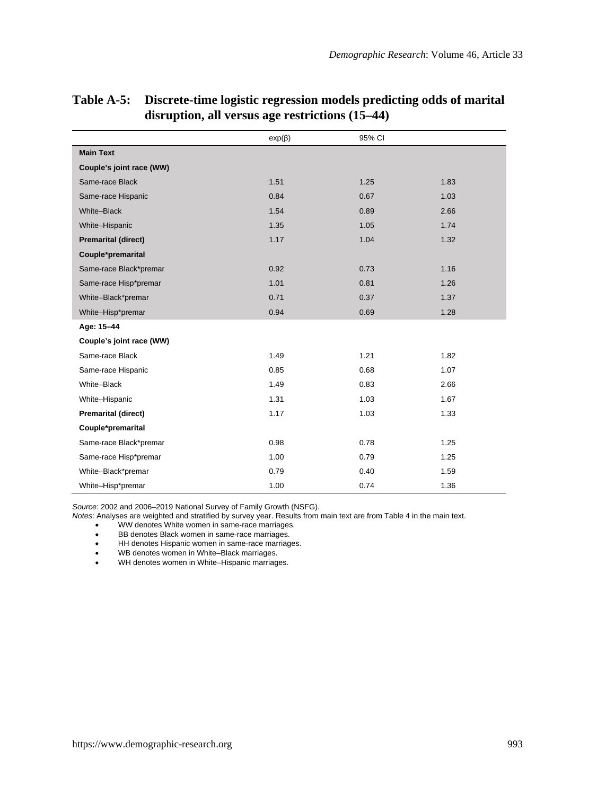|                            | $exp(\beta)$ | 95% CI |      |
|----------------------------|--------------|--------|------|
| <b>Main Text</b>           |              |        |      |
| Couple's joint race (WW)   |              |        |      |
| Same-race Black            | 1.51         | 1.25   | 1.83 |
| Same-race Hispanic         | 0.84         | 0.67   | 1.03 |
| White-Black                | 1.54         | 0.89   | 2.66 |
| White-Hispanic             | 1.35         | 1.05   | 1.74 |
| <b>Premarital (direct)</b> | 1.17         | 1.04   | 1.32 |
| Couple*premarital          |              |        |      |
| Same-race Black*premar     | 0.92         | 0.73   | 1.16 |
| Same-race Hisp*premar      | 1.01         | 0.81   | 1.26 |
| White-Black*premar         | 0.71         | 0.37   | 1.37 |
| White-Hisp*premar          | 0.94         | 0.69   | 1.28 |
| Age: 15-44                 |              |        |      |
| Couple's joint race (WW)   |              |        |      |
| Same-race Black            | 1.49         | 1.21   | 1.82 |
| Same-race Hispanic         | 0.85         | 0.68   | 1.07 |
| White-Black                | 1.49         | 0.83   | 2.66 |
| White-Hispanic             | 1.31         | 1.03   | 1.67 |
| <b>Premarital (direct)</b> | 1.17         | 1.03   | 1.33 |
| Couple*premarital          |              |        |      |
| Same-race Black*premar     | 0.98         | 0.78   | 1.25 |
| Same-race Hisp*premar      | 1.00         | 0.79   | 1.25 |
| White-Black*premar         | 0.79         | 0.40   | 1.59 |
| White-Hisp*premar          | 1.00         | 0.74   | 1.36 |

## **Table A-5: Discrete-time logistic regression models predicting odds of marital disruption, all versus age restrictions (15–44)**

*Source*: 2002 and 2006–2019 National Survey of Family Growth (NSFG).

*Notes*: Analyses are weighted and stratified by survey year. Results from main text are from Table 4 in the main text.

WW denotes White women in same-race marriages.

BB denotes Black women in same-race marriages.

 $\bullet$  HH denotes Hispanic women in same-race marriages.

● WB denotes women in White–Black marriages.<br>● WH denotes women in White–Hispanic marriag

WH denotes women in White-Hispanic marriages.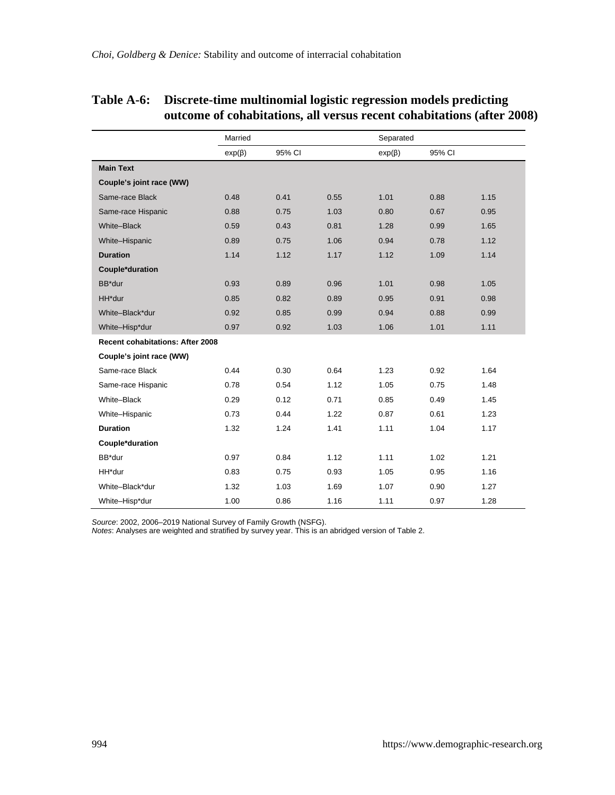|                                         | Married      |        |      | Separated    |        |      |
|-----------------------------------------|--------------|--------|------|--------------|--------|------|
|                                         | $exp(\beta)$ | 95% CI |      | $exp(\beta)$ | 95% CI |      |
| <b>Main Text</b>                        |              |        |      |              |        |      |
| Couple's joint race (WW)                |              |        |      |              |        |      |
| Same-race Black                         | 0.48         | 0.41   | 0.55 | 1.01         | 0.88   | 1.15 |
| Same-race Hispanic                      | 0.88         | 0.75   | 1.03 | 0.80         | 0.67   | 0.95 |
| White-Black                             | 0.59         | 0.43   | 0.81 | 1.28         | 0.99   | 1.65 |
| White-Hispanic                          | 0.89         | 0.75   | 1.06 | 0.94         | 0.78   | 1.12 |
| <b>Duration</b>                         | 1.14         | 1.12   | 1.17 | 1.12         | 1.09   | 1.14 |
| Couple*duration                         |              |        |      |              |        |      |
| BB*dur                                  | 0.93         | 0.89   | 0.96 | 1.01         | 0.98   | 1.05 |
| HH*dur                                  | 0.85         | 0.82   | 0.89 | 0.95         | 0.91   | 0.98 |
| White-Black*dur                         | 0.92         | 0.85   | 0.99 | 0.94         | 0.88   | 0.99 |
| White-Hisp*dur                          | 0.97         | 0.92   | 1.03 | 1.06         | 1.01   | 1.11 |
| <b>Recent cohabitations: After 2008</b> |              |        |      |              |        |      |
| Couple's joint race (WW)                |              |        |      |              |        |      |
| Same-race Black                         | 0.44         | 0.30   | 0.64 | 1.23         | 0.92   | 1.64 |
| Same-race Hispanic                      | 0.78         | 0.54   | 1.12 | 1.05         | 0.75   | 1.48 |
| White-Black                             | 0.29         | 0.12   | 0.71 | 0.85         | 0.49   | 1.45 |
| White-Hispanic                          | 0.73         | 0.44   | 1.22 | 0.87         | 0.61   | 1.23 |
| <b>Duration</b>                         | 1.32         | 1.24   | 1.41 | 1.11         | 1.04   | 1.17 |
| Couple*duration                         |              |        |      |              |        |      |
| BB*dur                                  | 0.97         | 0.84   | 1.12 | 1.11         | 1.02   | 1.21 |
| HH*dur                                  | 0.83         | 0.75   | 0.93 | 1.05         | 0.95   | 1.16 |
| White-Black*dur                         | 1.32         | 1.03   | 1.69 | 1.07         | 0.90   | 1.27 |
| White-Hisp*dur                          | 1.00         | 0.86   | 1.16 | 1.11         | 0.97   | 1.28 |

### **Table A-6: Discrete-time multinomial logistic regression models predicting outcome of cohabitations, all versus recent cohabitations (after 2008)**

*Source*: 2002, 2006–2019 National Survey of Family Growth (NSFG). *Notes*: Analyses are weighted and stratified by survey year. This is an abridged version of Table 2.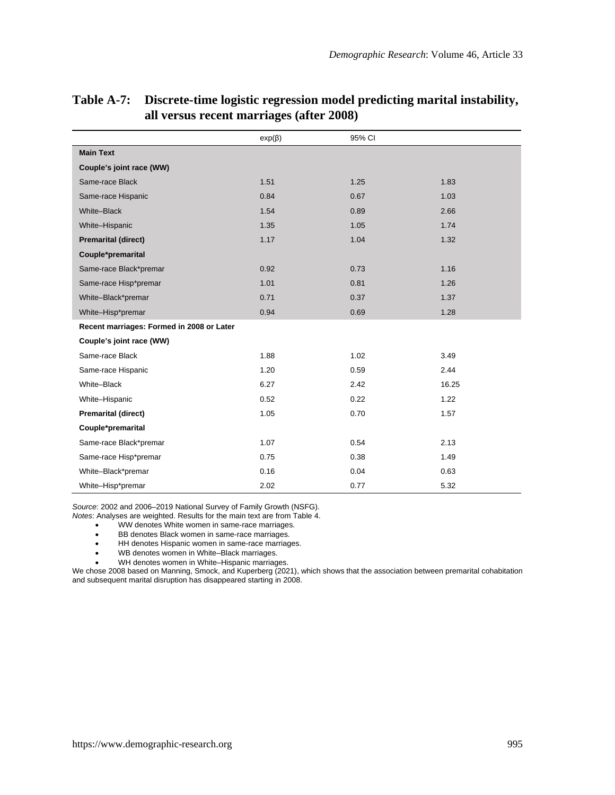|                                           | $exp(\beta)$ | 95% CI |       |
|-------------------------------------------|--------------|--------|-------|
| <b>Main Text</b>                          |              |        |       |
| Couple's joint race (WW)                  |              |        |       |
| Same-race Black                           | 1.51         | 1.25   | 1.83  |
| Same-race Hispanic                        | 0.84         | 0.67   | 1.03  |
| White-Black                               | 1.54         | 0.89   | 2.66  |
| White-Hispanic                            | 1.35         | 1.05   | 1.74  |
| <b>Premarital (direct)</b>                | 1.17         | 1.04   | 1.32  |
| Couple*premarital                         |              |        |       |
| Same-race Black*premar                    | 0.92         | 0.73   | 1.16  |
| Same-race Hisp*premar                     | 1.01         | 0.81   | 1.26  |
| White-Black*premar                        | 0.71         | 0.37   | 1.37  |
| White-Hisp*premar                         | 0.94         | 0.69   | 1.28  |
| Recent marriages: Formed in 2008 or Later |              |        |       |
| Couple's joint race (WW)                  |              |        |       |
| Same-race Black                           | 1.88         | 1.02   | 3.49  |
| Same-race Hispanic                        | 1.20         | 0.59   | 2.44  |
| White-Black                               | 6.27         | 2.42   | 16.25 |
| White-Hispanic                            | 0.52         | 0.22   | 1.22  |
| <b>Premarital (direct)</b>                | 1.05         | 0.70   | 1.57  |
| Couple*premarital                         |              |        |       |
| Same-race Black*premar                    | 1.07         | 0.54   | 2.13  |
| Same-race Hisp*premar                     | 0.75         | 0.38   | 1.49  |
| White-Black*premar                        | 0.16         | 0.04   | 0.63  |
| White-Hisp*premar                         | 2.02         | 0.77   | 5.32  |

### **Table A-7: Discrete-time logistic regression model predicting marital instability, all versus recent marriages (after 2008)**

*Source*: 2002 and 2006–2019 National Survey of Family Growth (NSFG).

*Notes*: Analyses are weighted. Results for the main text are from Table 4.

- WW denotes White women in same-race marriages.
- BB denotes Black women in same-race marriages.
- $\bullet$  HH denotes Hispanic women in same-race marriages.
- WB denotes women in White–Black marriages.<br>● WH denotes women in White–Hispanic marriag
- WH denotes women in White-Hispanic marriages.

We chose 2008 based on Manning, Smock, and Kuperberg (2021), which shows that the association between premarital cohabitation and subsequent marital disruption has disappeared starting in 2008.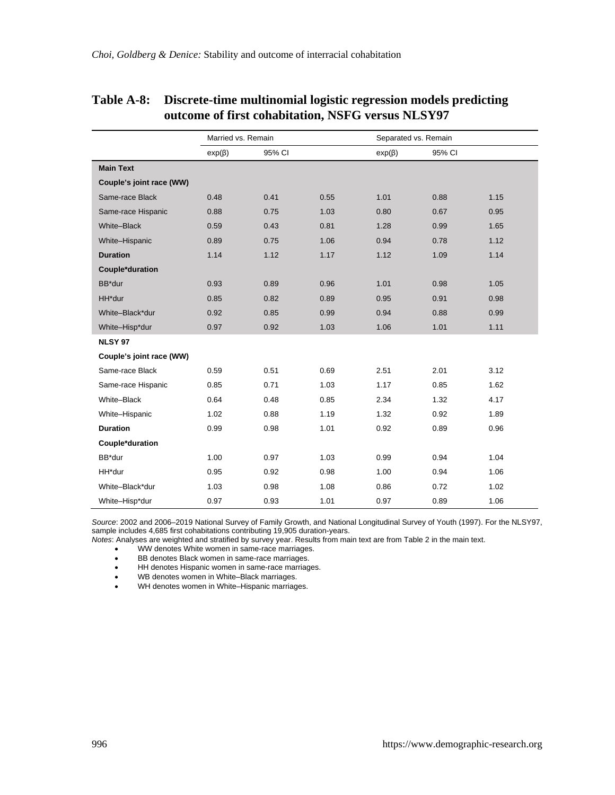| Table A-8: Discrete-time multinomial logistic regression models predicting |
|----------------------------------------------------------------------------|
| outcome of first cohabitation, NSFG versus NLSY97                          |

|                          | Married vs. Remain |        |      | Separated vs. Remain |        |      |
|--------------------------|--------------------|--------|------|----------------------|--------|------|
|                          | $exp(\beta)$       | 95% CI |      | $exp(\beta)$         | 95% CI |      |
| <b>Main Text</b>         |                    |        |      |                      |        |      |
| Couple's joint race (WW) |                    |        |      |                      |        |      |
| Same-race Black          | 0.48               | 0.41   | 0.55 | 1.01                 | 0.88   | 1.15 |
| Same-race Hispanic       | 0.88               | 0.75   | 1.03 | 0.80                 | 0.67   | 0.95 |
| White-Black              | 0.59               | 0.43   | 0.81 | 1.28                 | 0.99   | 1.65 |
| White-Hispanic           | 0.89               | 0.75   | 1.06 | 0.94                 | 0.78   | 1.12 |
| <b>Duration</b>          | 1.14               | 1.12   | 1.17 | 1.12                 | 1.09   | 1.14 |
| Couple*duration          |                    |        |      |                      |        |      |
| BB*dur                   | 0.93               | 0.89   | 0.96 | 1.01                 | 0.98   | 1.05 |
| HH*dur                   | 0.85               | 0.82   | 0.89 | 0.95                 | 0.91   | 0.98 |
| White-Black*dur          | 0.92               | 0.85   | 0.99 | 0.94                 | 0.88   | 0.99 |
| White-Hisp*dur           | 0.97               | 0.92   | 1.03 | 1.06                 | 1.01   | 1.11 |
| <b>NLSY 97</b>           |                    |        |      |                      |        |      |
| Couple's joint race (WW) |                    |        |      |                      |        |      |
| Same-race Black          | 0.59               | 0.51   | 0.69 | 2.51                 | 2.01   | 3.12 |
| Same-race Hispanic       | 0.85               | 0.71   | 1.03 | 1.17                 | 0.85   | 1.62 |
| White-Black              | 0.64               | 0.48   | 0.85 | 2.34                 | 1.32   | 4.17 |
| White-Hispanic           | 1.02               | 0.88   | 1.19 | 1.32                 | 0.92   | 1.89 |
| <b>Duration</b>          | 0.99               | 0.98   | 1.01 | 0.92                 | 0.89   | 0.96 |
| Couple*duration          |                    |        |      |                      |        |      |
| BB*dur                   | 1.00               | 0.97   | 1.03 | 0.99                 | 0.94   | 1.04 |
| HH*dur                   | 0.95               | 0.92   | 0.98 | 1.00                 | 0.94   | 1.06 |
| White-Black*dur          | 1.03               | 0.98   | 1.08 | 0.86                 | 0.72   | 1.02 |
| White-Hisp*dur           | 0.97               | 0.93   | 1.01 | 0.97                 | 0.89   | 1.06 |

*Source: 2*002 and 2006–2019 National Survey of Family Growth, and National Longitudinal Survey of Youth (1997). For the NLSY97,<br>sample includes 4,685 first cohabitations contributing 19,905 duration-years.<br>*Notes: A*nalys

WW denotes White women in same-race marriages.

BB denotes Black women in same-race marriages.

• HH denotes Hispanic women in same-race marriages.

● WB denotes women in White–Black marriages.<br>● WH denotes women in White–Hispanic marriag

WH denotes women in White–Hispanic marriages.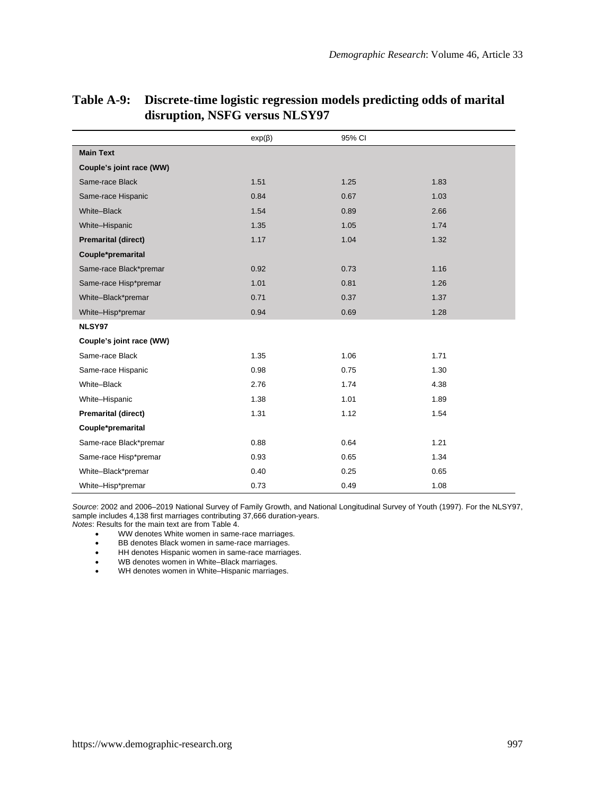|                            | $exp(\beta)$ | 95% CI |      |
|----------------------------|--------------|--------|------|
| <b>Main Text</b>           |              |        |      |
| Couple's joint race (WW)   |              |        |      |
| Same-race Black            | 1.51         | 1.25   | 1.83 |
| Same-race Hispanic         | 0.84         | 0.67   | 1.03 |
| White-Black                | 1.54         | 0.89   | 2.66 |
| White-Hispanic             | 1.35         | 1.05   | 1.74 |
| <b>Premarital (direct)</b> | 1.17         | 1.04   | 1.32 |
| Couple*premarital          |              |        |      |
| Same-race Black*premar     | 0.92         | 0.73   | 1.16 |
| Same-race Hisp*premar      | 1.01         | 0.81   | 1.26 |
| White-Black*premar         | 0.71         | 0.37   | 1.37 |
| White-Hisp*premar          | 0.94         | 0.69   | 1.28 |
| NLSY97                     |              |        |      |
| Couple's joint race (WW)   |              |        |      |
| Same-race Black            | 1.35         | 1.06   | 1.71 |
| Same-race Hispanic         | 0.98         | 0.75   | 1.30 |
| White-Black                | 2.76         | 1.74   | 4.38 |
| White-Hispanic             | 1.38         | 1.01   | 1.89 |
| <b>Premarital (direct)</b> | 1.31         | 1.12   | 1.54 |
| Couple*premarital          |              |        |      |
| Same-race Black*premar     | 0.88         | 0.64   | 1.21 |
| Same-race Hisp*premar      | 0.93         | 0.65   | 1.34 |
| White-Black*premar         | 0.40         | 0.25   | 0.65 |
| White-Hisp*premar          | 0.73         | 0.49   | 1.08 |

## **Table A-9: Discrete-time logistic regression models predicting odds of marital disruption, NSFG versus NLSY97**

*Source*: 2002 and 2006–2019 National Survey of Family Growth, and National Longitudinal Survey of Youth (1997). For the NLSY97, sample includes 4,138 first marriages contributing 37,666 duration-years.

*Notes*: Results for the main text are from Table 4.

- WW denotes White women in same-race marriages.<br>• BB denotes Black women in same-race marriages.
- BB denotes Black women in same-race marriages.
- HH denotes Hispanic women in same-race marriages.<br>• WB denotes women in White–Black marriages.
- WB denotes women in White–Black marriages.<br>● WH denotes women in White–Hispanic marriage
- WH denotes women in White–Hispanic marriages.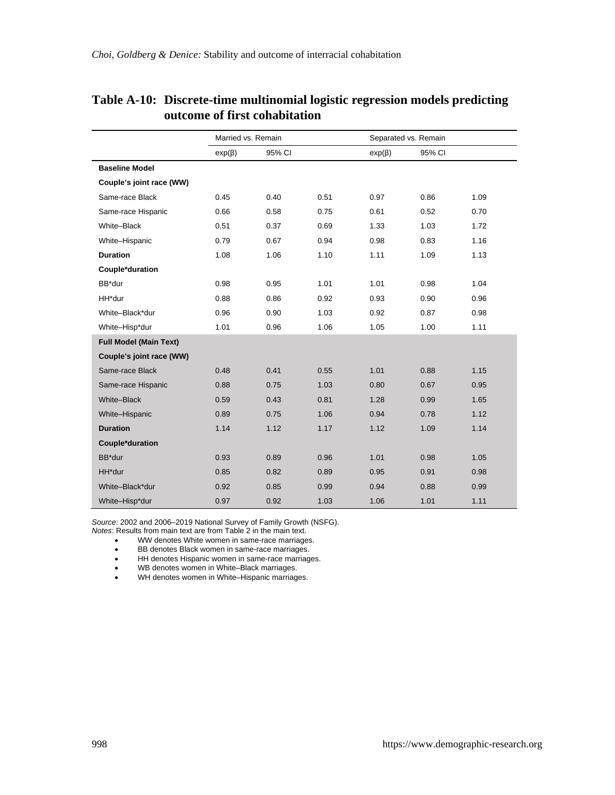|                               | Married vs. Remain |        |      | Separated vs. Remain |        |      |
|-------------------------------|--------------------|--------|------|----------------------|--------|------|
|                               | $exp(\beta)$       | 95% CI |      | $exp(\beta)$         | 95% CI |      |
| <b>Baseline Model</b>         |                    |        |      |                      |        |      |
| Couple's joint race (WW)      |                    |        |      |                      |        |      |
| Same-race Black               | 0.45               | 0.40   | 0.51 | 0.97                 | 0.86   | 1.09 |
| Same-race Hispanic            | 0.66               | 0.58   | 0.75 | 0.61                 | 0.52   | 0.70 |
| White-Black                   | 0.51               | 0.37   | 0.69 | 1.33                 | 1.03   | 1.72 |
| White-Hispanic                | 0.79               | 0.67   | 0.94 | 0.98                 | 0.83   | 1.16 |
| <b>Duration</b>               | 1.08               | 1.06   | 1.10 | 1.11                 | 1.09   | 1.13 |
| Couple*duration               |                    |        |      |                      |        |      |
| BB*dur                        | 0.98               | 0.95   | 1.01 | 1.01                 | 0.98   | 1.04 |
| HH*dur                        | 0.88               | 0.86   | 0.92 | 0.93                 | 0.90   | 0.96 |
| White-Black*dur               | 0.96               | 0.90   | 1.03 | 0.92                 | 0.87   | 0.98 |
| White-Hisp*dur                | 1.01               | 0.96   | 1.06 | 1.05                 | 1.00   | 1.11 |
| <b>Full Model (Main Text)</b> |                    |        |      |                      |        |      |
| Couple's joint race (WW)      |                    |        |      |                      |        |      |
| Same-race Black               | 0.48               | 0.41   | 0.55 | 1.01                 | 0.88   | 1.15 |
| Same-race Hispanic            | 0.88               | 0.75   | 1.03 | 0.80                 | 0.67   | 0.95 |
| White-Black                   | 0.59               | 0.43   | 0.81 | 1.28                 | 0.99   | 1.65 |
| White-Hispanic                | 0.89               | 0.75   | 1.06 | 0.94                 | 0.78   | 1.12 |
| <b>Duration</b>               | 1.14               | 1.12   | 1.17 | 1.12                 | 1.09   | 1.14 |
| Couple*duration               |                    |        |      |                      |        |      |
| BB*dur                        | 0.93               | 0.89   | 0.96 | 1.01                 | 0.98   | 1.05 |
| HH*dur                        | 0.85               | 0.82   | 0.89 | 0.95                 | 0.91   | 0.98 |
| White-Black*dur               | 0.92               | 0.85   | 0.99 | 0.94                 | 0.88   | 0.99 |
| White-Hisp*dur                | 0.97               | 0.92   | 1.03 | 1.06                 | 1.01   | 1.11 |

## **Table A-10: Discrete-time multinomial logistic regression models predicting outcome of first cohabitation**

*Source*: 2002 and 2006–2019 National Survey of Family Growth (NSFG). *Notes*: Results from main text are from Table 2 in the main text.

- WW denotes White women in same-race marriages.
- BB denotes Black women in same-race marriages.
- HH denotes Hispanic women in same-race marriages.<br>• WB denotes women in White-Black marriages.
- WB denotes women in White–Black marriages.<br>• WH denotes women in White–Hispanic marriage
- WH denotes women in White-Hispanic marriages.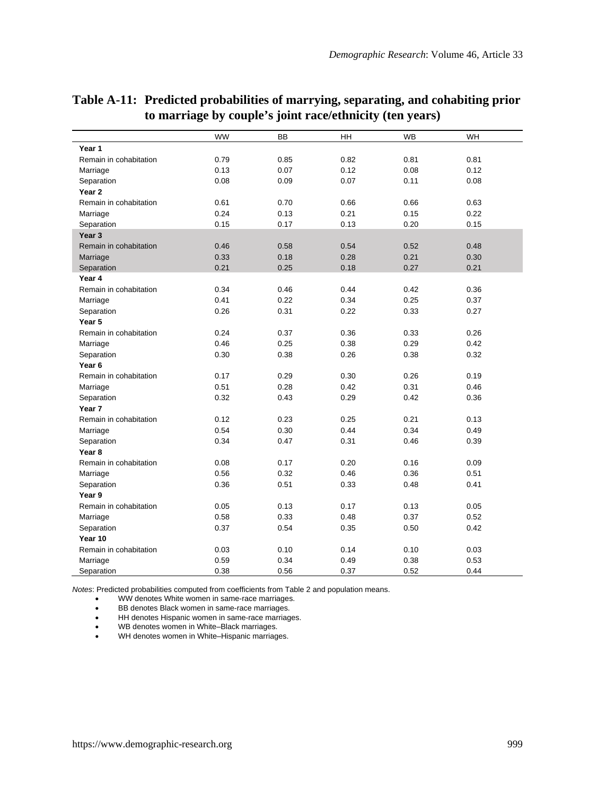|                        | WW   | <b>BB</b> | <b>HH</b> | <b>WB</b> | <b>WH</b> |
|------------------------|------|-----------|-----------|-----------|-----------|
| Year 1                 |      |           |           |           |           |
| Remain in cohabitation | 0.79 | 0.85      | 0.82      | 0.81      | 0.81      |
| Marriage               | 0.13 | 0.07      | 0.12      | 0.08      | 0.12      |
| Separation             | 0.08 | 0.09      | 0.07      | 0.11      | 0.08      |
| Year 2                 |      |           |           |           |           |
| Remain in cohabitation | 0.61 | 0.70      | 0.66      | 0.66      | 0.63      |
| Marriage               | 0.24 | 0.13      | 0.21      | 0.15      | 0.22      |
| Separation             | 0.15 | 0.17      | 0.13      | 0.20      | 0.15      |
| Year <sub>3</sub>      |      |           |           |           |           |
| Remain in cohabitation | 0.46 | 0.58      | 0.54      | 0.52      | 0.48      |
| Marriage               | 0.33 | 0.18      | 0.28      | 0.21      | 0.30      |
| Separation             | 0.21 | 0.25      | 0.18      | 0.27      | 0.21      |
| Year 4                 |      |           |           |           |           |
| Remain in cohabitation | 0.34 | 0.46      | 0.44      | 0.42      | 0.36      |
| Marriage               | 0.41 | 0.22      | 0.34      | 0.25      | 0.37      |
| Separation             | 0.26 | 0.31      | 0.22      | 0.33      | 0.27      |
| Year 5                 |      |           |           |           |           |
| Remain in cohabitation | 0.24 | 0.37      | 0.36      | 0.33      | 0.26      |
| Marriage               | 0.46 | 0.25      | 0.38      | 0.29      | 0.42      |
| Separation             | 0.30 | 0.38      | 0.26      | 0.38      | 0.32      |
| Year <sub>6</sub>      |      |           |           |           |           |
| Remain in cohabitation | 0.17 | 0.29      | 0.30      | 0.26      | 0.19      |
| Marriage               | 0.51 | 0.28      | 0.42      | 0.31      | 0.46      |
| Separation             | 0.32 | 0.43      | 0.29      | 0.42      | 0.36      |
| Year 7                 |      |           |           |           |           |
| Remain in cohabitation | 0.12 | 0.23      | 0.25      | 0.21      | 0.13      |
| Marriage               | 0.54 | 0.30      | 0.44      | 0.34      | 0.49      |
| Separation             | 0.34 | 0.47      | 0.31      | 0.46      | 0.39      |
| Year 8                 |      |           |           |           |           |
| Remain in cohabitation | 0.08 | 0.17      | 0.20      | 0.16      | 0.09      |
| Marriage               | 0.56 | 0.32      | 0.46      | 0.36      | 0.51      |
| Separation             | 0.36 | 0.51      | 0.33      | 0.48      | 0.41      |
| Year 9                 |      |           |           |           |           |
| Remain in cohabitation | 0.05 | 0.13      | 0.17      | 0.13      | 0.05      |
| Marriage               | 0.58 | 0.33      | 0.48      | 0.37      | 0.52      |
| Separation             | 0.37 | 0.54      | 0.35      | 0.50      | 0.42      |
| Year 10                |      |           |           |           |           |
| Remain in cohabitation | 0.03 | 0.10      | 0.14      | 0.10      | 0.03      |
| Marriage               | 0.59 | 0.34      | 0.49      | 0.38      | 0.53      |
| Separation             | 0.38 | 0.56      | 0.37      | 0.52      | 0.44      |

## **Table A-11: Predicted probabilities of marrying, separating, and cohabiting prior to marriage by couple's joint race/ethnicity (ten years)**

*Notes*: Predicted probabilities computed from coefficients from Table 2 and population means.

WW denotes White women in same-race marriages.

- BB denotes Black women in same-race marriages.
- HH denotes Hispanic women in same-race marriages.<br>• WB denotes women in White-Black marriages.<br>• WH denotes women in White-Hispanic marriages.
- 

WB denotes women in White–Black marriages. WH denotes women in White–Hispanic marriages.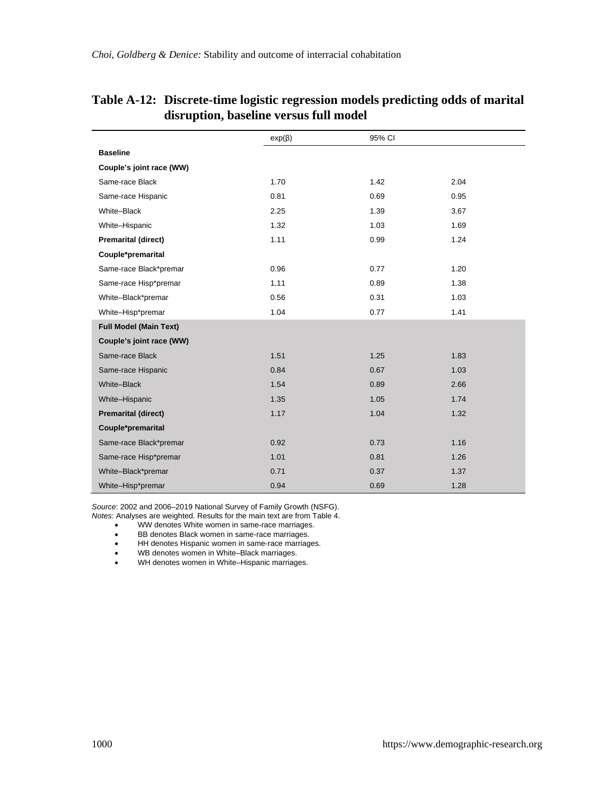|                               | $exp(\beta)$ | 95% CI |      |
|-------------------------------|--------------|--------|------|
| <b>Baseline</b>               |              |        |      |
| Couple's joint race (WW)      |              |        |      |
| Same-race Black               | 1.70         | 1.42   | 2.04 |
| Same-race Hispanic            | 0.81         | 0.69   | 0.95 |
| White-Black                   | 2.25         | 1.39   | 3.67 |
| White-Hispanic                | 1.32         | 1.03   | 1.69 |
| <b>Premarital (direct)</b>    | 1.11         | 0.99   | 1.24 |
| Couple*premarital             |              |        |      |
| Same-race Black*premar        | 0.96         | 0.77   | 1.20 |
| Same-race Hisp*premar         | 1.11         | 0.89   | 1.38 |
| White-Black*premar            | 0.56         | 0.31   | 1.03 |
| White-Hisp*premar             | 1.04         | 0.77   | 1.41 |
| <b>Full Model (Main Text)</b> |              |        |      |
| Couple's joint race (WW)      |              |        |      |
| Same-race Black               | 1.51         | 1.25   | 1.83 |
| Same-race Hispanic            | 0.84         | 0.67   | 1.03 |
| White-Black                   | 1.54         | 0.89   | 2.66 |
| White-Hispanic                | 1.35         | 1.05   | 1.74 |
| <b>Premarital (direct)</b>    | 1.17         | 1.04   | 1.32 |
| Couple*premarital             |              |        |      |
| Same-race Black*premar        | 0.92         | 0.73   | 1.16 |
| Same-race Hisp*premar         | 1.01         | 0.81   | 1.26 |
| White-Black*premar            | 0.71         | 0.37   | 1.37 |
| White-Hisp*premar             | 0.94         | 0.69   | 1.28 |

### **Table A-12: Discrete-time logistic regression models predicting odds of marital disruption, baseline versus full model**

*Source*: 2002 and 2006–2019 National Survey of Family Growth (NSFG). *Notes*: Analyses are weighted. Results for the main text are from Table 4.

- WW denotes White women in same-race marriages.
- BB denotes Black women in same-race marriages.
- HH denotes Hispanic women in same-race marriages.
- 
- WB denotes women in White–Black marriages.<br>• WH denotes women in White–Hispanic marriage WH denotes women in White-Hispanic marriages.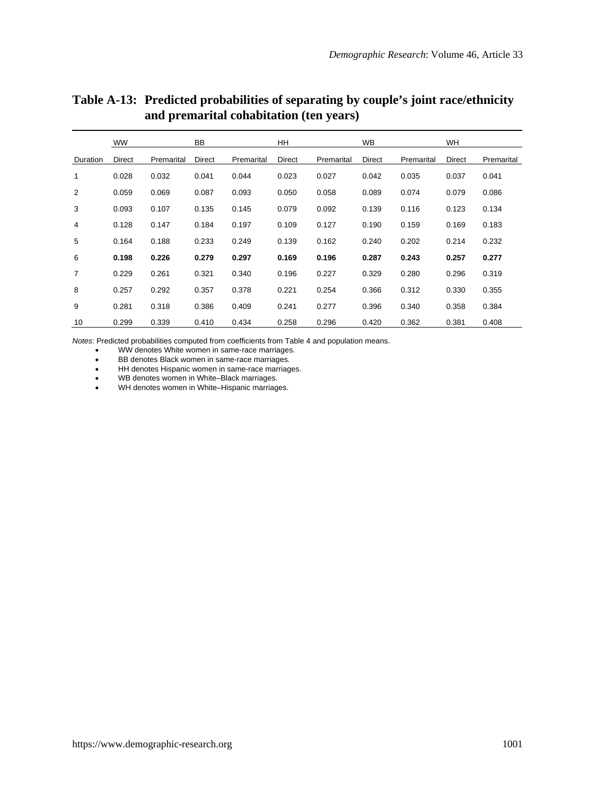|                | <b>WW</b> |            | <b>BB</b> |            | <b>HH</b> |            | <b>WB</b> |            | WH     |            |
|----------------|-----------|------------|-----------|------------|-----------|------------|-----------|------------|--------|------------|
| Duration       | Direct    | Premarital | Direct    | Premarital | Direct    | Premarital | Direct    | Premarital | Direct | Premarital |
| 1              | 0.028     | 0.032      | 0.041     | 0.044      | 0.023     | 0.027      | 0.042     | 0.035      | 0.037  | 0.041      |
| 2              | 0.059     | 0.069      | 0.087     | 0.093      | 0.050     | 0.058      | 0.089     | 0.074      | 0.079  | 0.086      |
| 3              | 0.093     | 0.107      | 0.135     | 0.145      | 0.079     | 0.092      | 0.139     | 0.116      | 0.123  | 0.134      |
| 4              | 0.128     | 0.147      | 0.184     | 0.197      | 0.109     | 0.127      | 0.190     | 0.159      | 0.169  | 0.183      |
| 5              | 0.164     | 0.188      | 0.233     | 0.249      | 0.139     | 0.162      | 0.240     | 0.202      | 0.214  | 0.232      |
| 6              | 0.198     | 0.226      | 0.279     | 0.297      | 0.169     | 0.196      | 0.287     | 0.243      | 0.257  | 0.277      |
| $\overline{7}$ | 0.229     | 0.261      | 0.321     | 0.340      | 0.196     | 0.227      | 0.329     | 0.280      | 0.296  | 0.319      |
| 8              | 0.257     | 0.292      | 0.357     | 0.378      | 0.221     | 0.254      | 0.366     | 0.312      | 0.330  | 0.355      |
| 9              | 0.281     | 0.318      | 0.386     | 0.409      | 0.241     | 0.277      | 0.396     | 0.340      | 0.358  | 0.384      |
| 10             | 0.299     | 0.339      | 0.410     | 0.434      | 0.258     | 0.296      | 0.420     | 0.362      | 0.381  | 0.408      |

## **Table A-13: Predicted probabilities of separating by couple's joint race/ethnicity and premarital cohabitation (ten years)**

*Notes*: Predicted probabilities computed from coefficients from Table 4 and population means.

WW denotes White women in same-race marriages.

BB denotes Black women in same-race marriages.

HH denotes Hispanic women in same-race marriages. WB denotes women in White–Black marriages. WH denotes women in White–Hispanic marriages.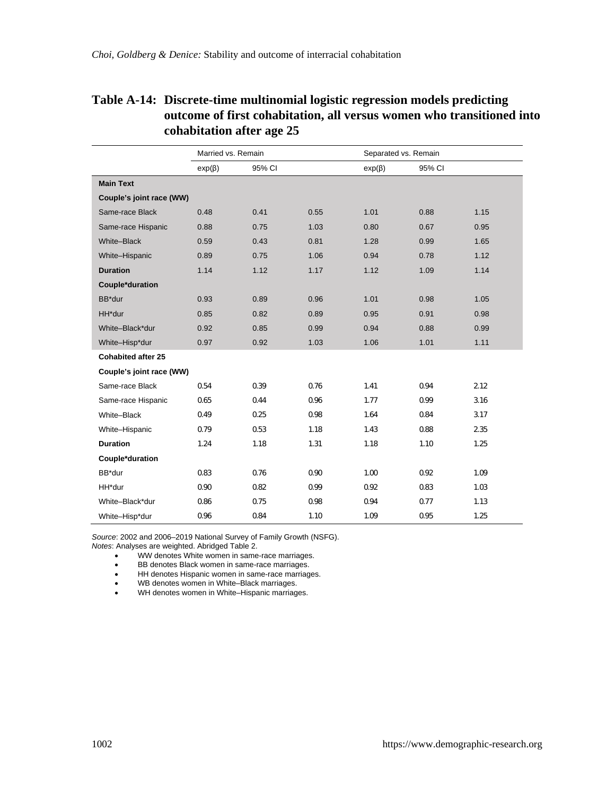## **Table A-14: Discrete-time multinomial logistic regression models predicting outcome of first cohabitation, all versus women who transitioned into cohabitation after age 25**

|                          | Married vs. Remain |        |      | Separated vs. Remain |        |      |
|--------------------------|--------------------|--------|------|----------------------|--------|------|
|                          | $exp(\beta)$       | 95% CI |      | $exp(\beta)$         | 95% CI |      |
| <b>Main Text</b>         |                    |        |      |                      |        |      |
| Couple's joint race (WW) |                    |        |      |                      |        |      |
| Same-race Black          | 0.48               | 0.41   | 0.55 | 1.01                 | 0.88   | 1.15 |
| Same-race Hispanic       | 0.88               | 0.75   | 1.03 | 0.80                 | 0.67   | 0.95 |
| White-Black              | 0.59               | 0.43   | 0.81 | 1.28                 | 0.99   | 1.65 |
| White-Hispanic           | 0.89               | 0.75   | 1.06 | 0.94                 | 0.78   | 1.12 |
| <b>Duration</b>          | 1.14               | 1.12   | 1.17 | 1.12                 | 1.09   | 1.14 |
| Couple*duration          |                    |        |      |                      |        |      |
| BB*dur                   | 0.93               | 0.89   | 0.96 | 1.01                 | 0.98   | 1.05 |
| HH*dur                   | 0.85               | 0.82   | 0.89 | 0.95                 | 0.91   | 0.98 |
| White-Black*dur          | 0.92               | 0.85   | 0.99 | 0.94                 | 0.88   | 0.99 |
| White-Hisp*dur           | 0.97               | 0.92   | 1.03 | 1.06                 | 1.01   | 1.11 |
| Cohabited after 25       |                    |        |      |                      |        |      |
| Couple's joint race (WW) |                    |        |      |                      |        |      |
| Same-race Black          | 0.54               | 0.39   | 0.76 | 1.41                 | 0.94   | 2.12 |
| Same-race Hispanic       | 0.65               | 0.44   | 0.96 | 1.77                 | 0.99   | 3.16 |
| White-Black              | 0.49               | 0.25   | 0.98 | 1.64                 | 0.84   | 3.17 |
| White-Hispanic           | 0.79               | 0.53   | 1.18 | 1.43                 | 0.88   | 2.35 |
| <b>Duration</b>          | 1.24               | 1.18   | 1.31 | 1.18                 | 1.10   | 1.25 |
| Couple*duration          |                    |        |      |                      |        |      |
| BB*dur                   | 0.83               | 0.76   | 0.90 | 1.00                 | 0.92   | 1.09 |
| HH*dur                   | 0.90               | 0.82   | 0.99 | 0.92                 | 0.83   | 1.03 |
| White-Black*dur          | 0.86               | 0.75   | 0.98 | 0.94                 | 0.77   | 1.13 |
| White-Hisp*dur           | 0.96               | 0.84   | 1.10 | 1.09                 | 0.95   | 1.25 |

*Source*: 2002 and 2006–2019 National Survey of Family Growth (NSFG). *Notes*: Analyses are weighted. Abridged Table 2.

WW denotes White women in same-race marriages.

• BB denotes Black women in same-race marriages.

• HH denotes Hispanic women in same-race marriages.<br>• WB denotes women in White-Black marriages.

WB denotes women in White–Black marriages.

• WH denotes women in White–Hispanic marriages.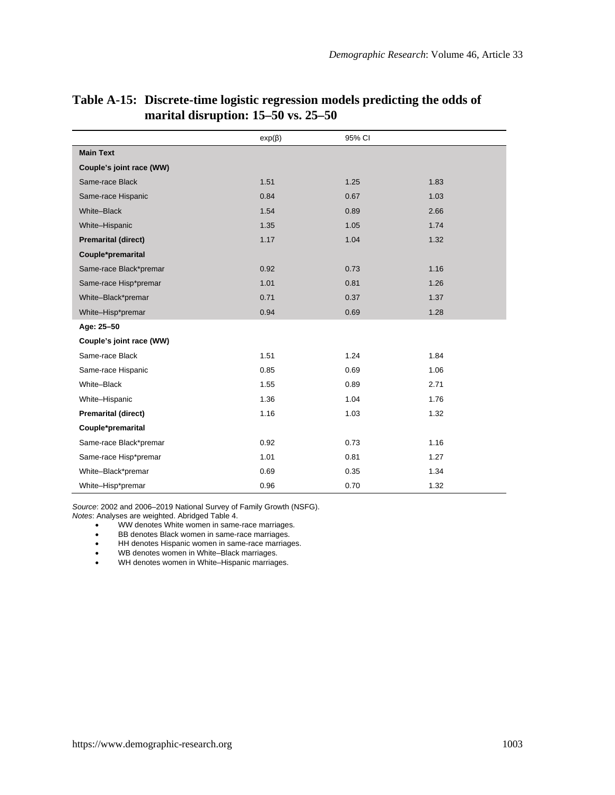|                            | $exp(\beta)$ | 95% CI |      |
|----------------------------|--------------|--------|------|
| <b>Main Text</b>           |              |        |      |
| Couple's joint race (WW)   |              |        |      |
| Same-race Black            | 1.51         | 1.25   | 1.83 |
| Same-race Hispanic         | 0.84         | 0.67   | 1.03 |
| White-Black                | 1.54         | 0.89   | 2.66 |
| White-Hispanic             | 1.35         | 1.05   | 1.74 |
| <b>Premarital (direct)</b> | 1.17         | 1.04   | 1.32 |
| Couple*premarital          |              |        |      |
| Same-race Black*premar     | 0.92         | 0.73   | 1.16 |
| Same-race Hisp*premar      | 1.01         | 0.81   | 1.26 |
| White-Black*premar         | 0.71         | 0.37   | 1.37 |
| White-Hisp*premar          | 0.94         | 0.69   | 1.28 |
| Age: 25-50                 |              |        |      |
| Couple's joint race (WW)   |              |        |      |
| Same-race Black            | 1.51         | 1.24   | 1.84 |
| Same-race Hispanic         | 0.85         | 0.69   | 1.06 |
| White-Black                | 1.55         | 0.89   | 2.71 |
| White-Hispanic             | 1.36         | 1.04   | 1.76 |
| <b>Premarital (direct)</b> | 1.16         | 1.03   | 1.32 |
| Couple*premarital          |              |        |      |
| Same-race Black*premar     | 0.92         | 0.73   | 1.16 |
| Same-race Hisp*premar      | 1.01         | 0.81   | 1.27 |
| White-Black*premar         | 0.69         | 0.35   | 1.34 |
| White-Hisp*premar          | 0.96         | 0.70   | 1.32 |

### **Table A-15: Discrete-time logistic regression models predicting the odds of marital disruption: 15–50 vs. 25–50**

*Source*: 2002 and 2006–2019 National Survey of Family Growth (NSFG).

*Notes*: Analyses are weighted. Abridged Table 4.

WW denotes White women in same-race marriages.

BB denotes Black women in same-race marriages.

 $\bullet$  HH denotes Hispanic women in same-race marriages.

WB denotes women in White–Black marriages. WH denotes women in White–Hispanic marriages.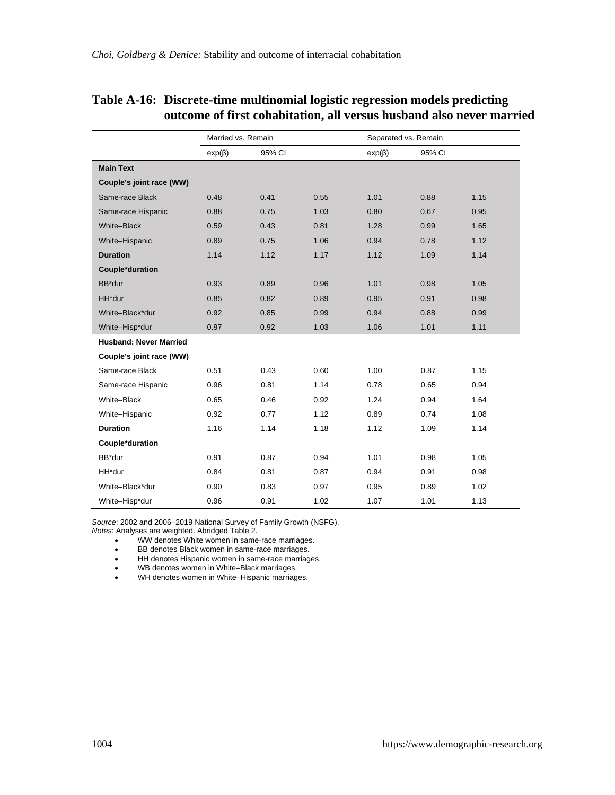|                               | Married vs. Remain |        |      | Separated vs. Remain |        |      |
|-------------------------------|--------------------|--------|------|----------------------|--------|------|
|                               | $exp(\beta)$       | 95% CI |      | $exp(\beta)$         | 95% CI |      |
| <b>Main Text</b>              |                    |        |      |                      |        |      |
| Couple's joint race (WW)      |                    |        |      |                      |        |      |
| Same-race Black               | 0.48               | 0.41   | 0.55 | 1.01                 | 0.88   | 1.15 |
| Same-race Hispanic            | 0.88               | 0.75   | 1.03 | 0.80                 | 0.67   | 0.95 |
| White-Black                   | 0.59               | 0.43   | 0.81 | 1.28                 | 0.99   | 1.65 |
| White-Hispanic                | 0.89               | 0.75   | 1.06 | 0.94                 | 0.78   | 1.12 |
| <b>Duration</b>               | 1.14               | 1.12   | 1.17 | 1.12                 | 1.09   | 1.14 |
| Couple*duration               |                    |        |      |                      |        |      |
| BB*dur                        | 0.93               | 0.89   | 0.96 | 1.01                 | 0.98   | 1.05 |
| HH*dur                        | 0.85               | 0.82   | 0.89 | 0.95                 | 0.91   | 0.98 |
| White-Black*dur               | 0.92               | 0.85   | 0.99 | 0.94                 | 0.88   | 0.99 |
| White-Hisp*dur                | 0.97               | 0.92   | 1.03 | 1.06                 | 1.01   | 1.11 |
| <b>Husband: Never Married</b> |                    |        |      |                      |        |      |
| Couple's joint race (WW)      |                    |        |      |                      |        |      |
| Same-race Black               | 0.51               | 0.43   | 0.60 | 1.00                 | 0.87   | 1.15 |
| Same-race Hispanic            | 0.96               | 0.81   | 1.14 | 0.78                 | 0.65   | 0.94 |
| White-Black                   | 0.65               | 0.46   | 0.92 | 1.24                 | 0.94   | 1.64 |
| White-Hispanic                | 0.92               | 0.77   | 1.12 | 0.89                 | 0.74   | 1.08 |
| <b>Duration</b>               | 1.16               | 1.14   | 1.18 | 1.12                 | 1.09   | 1.14 |
| Couple*duration               |                    |        |      |                      |        |      |
| BB*dur                        | 0.91               | 0.87   | 0.94 | 1.01                 | 0.98   | 1.05 |
| HH*dur                        | 0.84               | 0.81   | 0.87 | 0.94                 | 0.91   | 0.98 |
| White-Black*dur               | 0.90               | 0.83   | 0.97 | 0.95                 | 0.89   | 1.02 |
| White-Hisp*dur                | 0.96               | 0.91   | 1.02 | 1.07                 | 1.01   | 1.13 |

### **Table A-16: Discrete-time multinomial logistic regression models predicting outcome of first cohabitation, all versus husband also never married**

*Source*: 2002 and 2006–2019 National Survey of Family Growth (NSFG).

*Notes*: Analyses are weighted. Abridged Table 2. WW denotes White women in same-race marriages.

BB denotes Black women in same-race marriages.

- HH denotes Hispanic women in same-race marriages.<br>• WB denotes women in White-Black marriages.
- WB denotes women in White–Black marriages.

● WH denotes women in White–Hispanic marriages.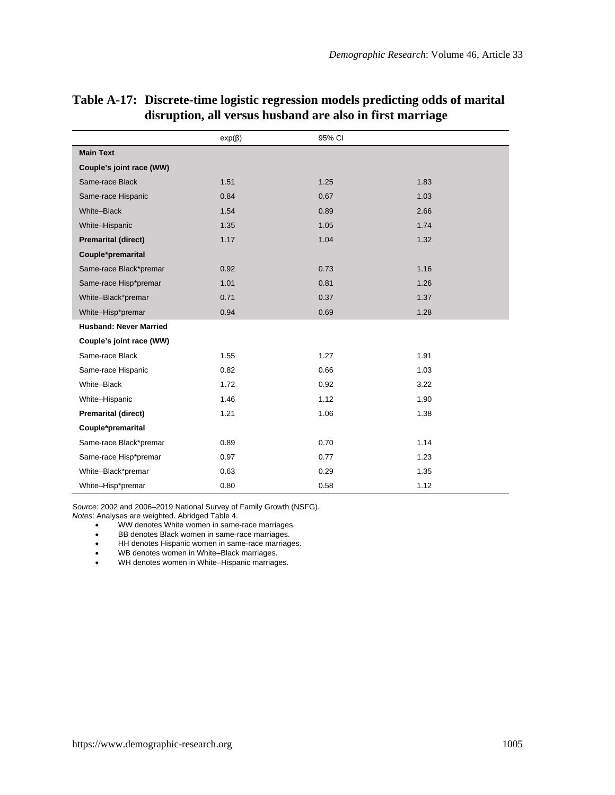|                               | $exp(\beta)$ | 95% CI |      |
|-------------------------------|--------------|--------|------|
| <b>Main Text</b>              |              |        |      |
| Couple's joint race (WW)      |              |        |      |
| Same-race Black               | 1.51         | 1.25   | 1.83 |
| Same-race Hispanic            | 0.84         | 0.67   | 1.03 |
| White-Black                   | 1.54         | 0.89   | 2.66 |
| White-Hispanic                | 1.35         | 1.05   | 1.74 |
| <b>Premarital (direct)</b>    | 1.17         | 1.04   | 1.32 |
| Couple*premarital             |              |        |      |
| Same-race Black*premar        | 0.92         | 0.73   | 1.16 |
| Same-race Hisp*premar         | 1.01         | 0.81   | 1.26 |
| White-Black*premar            | 0.71         | 0.37   | 1.37 |
| White-Hisp*premar             | 0.94         | 0.69   | 1.28 |
| <b>Husband: Never Married</b> |              |        |      |
| Couple's joint race (WW)      |              |        |      |
| Same-race Black               | 1.55         | 1.27   | 1.91 |
| Same-race Hispanic            | 0.82         | 0.66   | 1.03 |
| White-Black                   | 1.72         | 0.92   | 3.22 |
| White-Hispanic                | 1.46         | 1.12   | 1.90 |
| <b>Premarital (direct)</b>    | 1.21         | 1.06   | 1.38 |
| Couple*premarital             |              |        |      |
| Same-race Black*premar        | 0.89         | 0.70   | 1.14 |
| Same-race Hisp*premar         | 0.97         | 0.77   | 1.23 |
| White-Black*premar            | 0.63         | 0.29   | 1.35 |
| White-Hisp*premar             | 0.80         | 0.58   | 1.12 |

## **Table A-17: Discrete-time logistic regression models predicting odds of marital disruption, all versus husband are also in first marriage**

*Source*: 2002 and 2006–2019 National Survey of Family Growth (NSFG).

*Notes*: Analyses are weighted. Abridged Table 4.

- WW denotes White women in same-race marriages.
- BB denotes Black women in same-race marriages.

• HH denotes Hispanic women in same-race marriages.

WB denotes women in White–Black marriages. WH denotes women in White–Hispanic marriages.